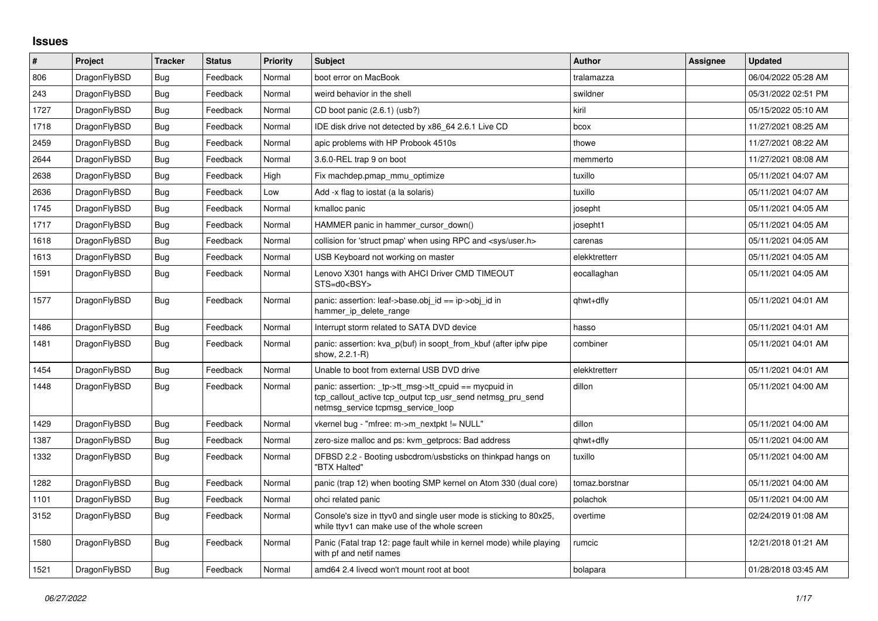## **Issues**

| $\sharp$ | Project      | <b>Tracker</b> | <b>Status</b> | Priority | <b>Subject</b>                                                                                                                                              | <b>Author</b>  | Assignee | <b>Updated</b>      |
|----------|--------------|----------------|---------------|----------|-------------------------------------------------------------------------------------------------------------------------------------------------------------|----------------|----------|---------------------|
| 806      | DragonFlyBSD | <b>Bug</b>     | Feedback      | Normal   | boot error on MacBook                                                                                                                                       | tralamazza     |          | 06/04/2022 05:28 AM |
| 243      | DragonFlyBSD | Bug            | Feedback      | Normal   | weird behavior in the shell                                                                                                                                 | swildner       |          | 05/31/2022 02:51 PM |
| 1727     | DragonFlyBSD | <b>Bug</b>     | Feedback      | Normal   | CD boot panic (2.6.1) (usb?)                                                                                                                                | kiril          |          | 05/15/2022 05:10 AM |
| 1718     | DragonFlyBSD | <b>Bug</b>     | Feedback      | Normal   | IDE disk drive not detected by x86 64 2.6.1 Live CD                                                                                                         | bcox           |          | 11/27/2021 08:25 AM |
| 2459     | DragonFlyBSD | Bug            | Feedback      | Normal   | apic problems with HP Probook 4510s                                                                                                                         | thowe          |          | 11/27/2021 08:22 AM |
| 2644     | DragonFlyBSD | <b>Bug</b>     | Feedback      | Normal   | 3.6.0-REL trap 9 on boot                                                                                                                                    | memmerto       |          | 11/27/2021 08:08 AM |
| 2638     | DragonFlyBSD | Bug            | Feedback      | High     | Fix machdep.pmap mmu optimize                                                                                                                               | tuxillo        |          | 05/11/2021 04:07 AM |
| 2636     | DragonFlyBSD | <b>Bug</b>     | Feedback      | Low      | Add -x flag to iostat (a la solaris)                                                                                                                        | tuxillo        |          | 05/11/2021 04:07 AM |
| 1745     | DragonFlyBSD | <b>Bug</b>     | Feedback      | Normal   | kmalloc panic                                                                                                                                               | josepht        |          | 05/11/2021 04:05 AM |
| 1717     | DragonFlyBSD | <b>Bug</b>     | Feedback      | Normal   | HAMMER panic in hammer cursor down()                                                                                                                        | josepht1       |          | 05/11/2021 04:05 AM |
| 1618     | DragonFlyBSD | Bug            | Feedback      | Normal   | collision for 'struct pmap' when using RPC and <sys user.h=""></sys>                                                                                        | carenas        |          | 05/11/2021 04:05 AM |
| 1613     | DragonFlyBSD | <b>Bug</b>     | Feedback      | Normal   | USB Keyboard not working on master                                                                                                                          | elekktretterr  |          | 05/11/2021 04:05 AM |
| 1591     | DragonFlyBSD | Bug            | Feedback      | Normal   | Lenovo X301 hangs with AHCI Driver CMD TIMEOUT<br>STS=d0 <bsy></bsy>                                                                                        | eocallaghan    |          | 05/11/2021 04:05 AM |
| 1577     | DragonFlyBSD | Bug            | Feedback      | Normal   | panic: assertion: leaf->base.obj id == ip->obj id in<br>hammer ip delete range                                                                              | qhwt+dfly      |          | 05/11/2021 04:01 AM |
| 1486     | DragonFlyBSD | Bug            | Feedback      | Normal   | Interrupt storm related to SATA DVD device                                                                                                                  | hasso          |          | 05/11/2021 04:01 AM |
| 1481     | DragonFlyBSD | <b>Bug</b>     | Feedback      | Normal   | panic: assertion: kva p(buf) in soopt from kbuf (after ipfw pipe<br>show, 2.2.1-R)                                                                          | combiner       |          | 05/11/2021 04:01 AM |
| 1454     | DragonFlyBSD | Bug            | Feedback      | Normal   | Unable to boot from external USB DVD drive                                                                                                                  | elekktretterr  |          | 05/11/2021 04:01 AM |
| 1448     | DragonFlyBSD | Bug            | Feedback      | Normal   | panic: assertion: $tp$ ->tt msg->tt cpuid == mycpuid in<br>tcp_callout_active tcp_output tcp_usr_send netmsg_pru_send<br>netmsg_service tcpmsg_service_loop | dillon         |          | 05/11/2021 04:00 AM |
| 1429     | DragonFlyBSD | Bug            | Feedback      | Normal   | vkernel bug - "mfree: m->m_nextpkt != NULL"                                                                                                                 | dillon         |          | 05/11/2021 04:00 AM |
| 1387     | DragonFlyBSD | Bug            | Feedback      | Normal   | zero-size malloc and ps: kvm_getprocs: Bad address                                                                                                          | qhwt+dfly      |          | 05/11/2021 04:00 AM |
| 1332     | DragonFlyBSD | Bug            | Feedback      | Normal   | DFBSD 2.2 - Booting usbcdrom/usbsticks on thinkpad hangs on<br>"BTX Halted"                                                                                 | tuxillo        |          | 05/11/2021 04:00 AM |
| 1282     | DragonFlyBSD | Bug            | Feedback      | Normal   | panic (trap 12) when booting SMP kernel on Atom 330 (dual core)                                                                                             | tomaz.borstnar |          | 05/11/2021 04:00 AM |
| 1101     | DragonFlyBSD | <b>Bug</b>     | Feedback      | Normal   | ohci related panic                                                                                                                                          | polachok       |          | 05/11/2021 04:00 AM |
| 3152     | DragonFlyBSD | <b>Bug</b>     | Feedback      | Normal   | Console's size in ttyv0 and single user mode is sticking to 80x25,<br>while ttyv1 can make use of the whole screen                                          | overtime       |          | 02/24/2019 01:08 AM |
| 1580     | DragonFlyBSD | Bug            | Feedback      | Normal   | Panic (Fatal trap 12: page fault while in kernel mode) while playing<br>with pf and netif names                                                             | rumcic         |          | 12/21/2018 01:21 AM |
| 1521     | DragonFlyBSD | <b>Bug</b>     | Feedback      | Normal   | amd64 2.4 livecd won't mount root at boot                                                                                                                   | bolapara       |          | 01/28/2018 03:45 AM |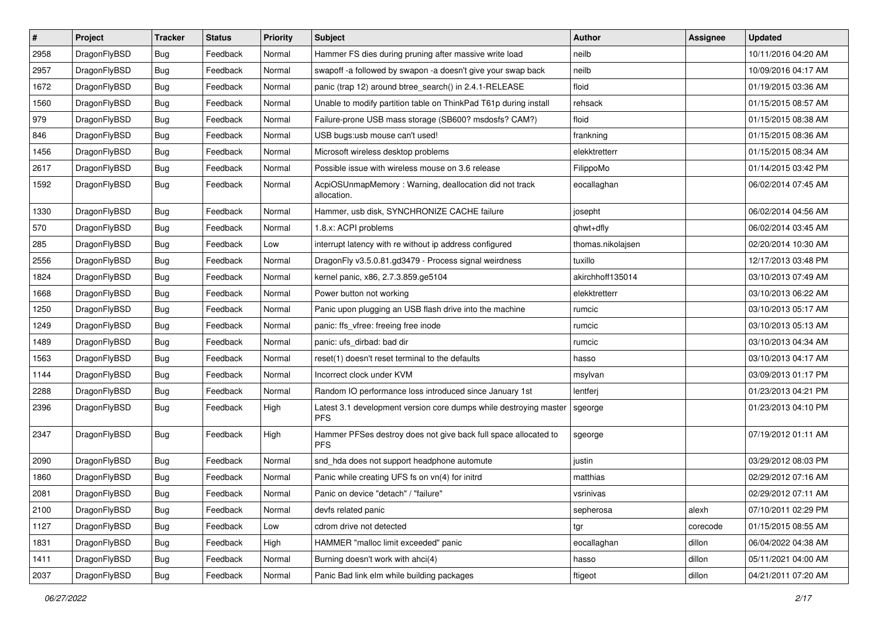| $\pmb{\#}$ | Project      | <b>Tracker</b> | <b>Status</b> | <b>Priority</b> | <b>Subject</b>                                                                  | Author            | <b>Assignee</b> | <b>Updated</b>      |
|------------|--------------|----------------|---------------|-----------------|---------------------------------------------------------------------------------|-------------------|-----------------|---------------------|
| 2958       | DragonFlyBSD | <b>Bug</b>     | Feedback      | Normal          | Hammer FS dies during pruning after massive write load                          | neilb             |                 | 10/11/2016 04:20 AM |
| 2957       | DragonFlyBSD | Bug            | Feedback      | Normal          | swapoff -a followed by swapon -a doesn't give your swap back                    | neilb             |                 | 10/09/2016 04:17 AM |
| 1672       | DragonFlyBSD | Bug            | Feedback      | Normal          | panic (trap 12) around btree_search() in 2.4.1-RELEASE                          | floid             |                 | 01/19/2015 03:36 AM |
| 1560       | DragonFlyBSD | Bug            | Feedback      | Normal          | Unable to modify partition table on ThinkPad T61p during install                | rehsack           |                 | 01/15/2015 08:57 AM |
| 979        | DragonFlyBSD | Bug            | Feedback      | Normal          | Failure-prone USB mass storage (SB600? msdosfs? CAM?)                           | floid             |                 | 01/15/2015 08:38 AM |
| 846        | DragonFlyBSD | Bug            | Feedback      | Normal          | USB bugs:usb mouse can't used!                                                  | frankning         |                 | 01/15/2015 08:36 AM |
| 1456       | DragonFlyBSD | Bug            | Feedback      | Normal          | Microsoft wireless desktop problems                                             | elekktretterr     |                 | 01/15/2015 08:34 AM |
| 2617       | DragonFlyBSD | Bug            | Feedback      | Normal          | Possible issue with wireless mouse on 3.6 release                               | FilippoMo         |                 | 01/14/2015 03:42 PM |
| 1592       | DragonFlyBSD | Bug            | Feedback      | Normal          | AcpiOSUnmapMemory: Warning, deallocation did not track<br>allocation.           | eocallaghan       |                 | 06/02/2014 07:45 AM |
| 1330       | DragonFlyBSD | <b>Bug</b>     | Feedback      | Normal          | Hammer, usb disk, SYNCHRONIZE CACHE failure                                     | josepht           |                 | 06/02/2014 04:56 AM |
| 570        | DragonFlyBSD | Bug            | Feedback      | Normal          | 1.8.x: ACPI problems                                                            | qhwt+dfly         |                 | 06/02/2014 03:45 AM |
| 285        | DragonFlyBSD | Bug            | Feedback      | Low             | interrupt latency with re without ip address configured                         | thomas.nikolajsen |                 | 02/20/2014 10:30 AM |
| 2556       | DragonFlyBSD | <b>Bug</b>     | Feedback      | Normal          | DragonFly v3.5.0.81.gd3479 - Process signal weirdness                           | tuxillo           |                 | 12/17/2013 03:48 PM |
| 1824       | DragonFlyBSD | Bug            | Feedback      | Normal          | kernel panic, x86, 2.7.3.859.ge5104                                             | akirchhoff135014  |                 | 03/10/2013 07:49 AM |
| 1668       | DragonFlyBSD | Bug            | Feedback      | Normal          | Power button not working                                                        | elekktretterr     |                 | 03/10/2013 06:22 AM |
| 1250       | DragonFlyBSD | Bug            | Feedback      | Normal          | Panic upon plugging an USB flash drive into the machine                         | rumcic            |                 | 03/10/2013 05:17 AM |
| 1249       | DragonFlyBSD | Bug            | Feedback      | Normal          | panic: ffs_vfree: freeing free inode                                            | rumcic            |                 | 03/10/2013 05:13 AM |
| 1489       | DragonFlyBSD | Bug            | Feedback      | Normal          | panic: ufs dirbad: bad dir                                                      | rumcic            |                 | 03/10/2013 04:34 AM |
| 1563       | DragonFlyBSD | Bug            | Feedback      | Normal          | reset(1) doesn't reset terminal to the defaults                                 | hasso             |                 | 03/10/2013 04:17 AM |
| 1144       | DragonFlyBSD | Bug            | Feedback      | Normal          | Incorrect clock under KVM                                                       | msylvan           |                 | 03/09/2013 01:17 PM |
| 2288       | DragonFlyBSD | Bug            | Feedback      | Normal          | Random IO performance loss introduced since January 1st                         | lentferj          |                 | 01/23/2013 04:21 PM |
| 2396       | DragonFlyBSD | Bug            | Feedback      | High            | Latest 3.1 development version core dumps while destroying master<br><b>PFS</b> | sgeorge           |                 | 01/23/2013 04:10 PM |
| 2347       | DragonFlyBSD | Bug            | Feedback      | High            | Hammer PFSes destroy does not give back full space allocated to<br><b>PFS</b>   | sgeorge           |                 | 07/19/2012 01:11 AM |
| 2090       | DragonFlyBSD | <b>Bug</b>     | Feedback      | Normal          | snd_hda does not support headphone automute                                     | justin            |                 | 03/29/2012 08:03 PM |
| 1860       | DragonFlyBSD | Bug            | Feedback      | Normal          | Panic while creating UFS fs on vn(4) for initrd                                 | matthias          |                 | 02/29/2012 07:16 AM |
| 2081       | DragonFlyBSD | Bug            | Feedback      | Normal          | Panic on device "detach" / "failure"                                            | vsrinivas         |                 | 02/29/2012 07:11 AM |
| 2100       | DragonFlyBSD | <b>Bug</b>     | Feedback      | Normal          | devfs related panic                                                             | sepherosa         | alexh           | 07/10/2011 02:29 PM |
| 1127       | DragonFlyBSD | Bug            | Feedback      | Low             | cdrom drive not detected                                                        | tgr               | corecode        | 01/15/2015 08:55 AM |
| 1831       | DragonFlyBSD | Bug            | Feedback      | High            | HAMMER "malloc limit exceeded" panic                                            | eocallaghan       | dillon          | 06/04/2022 04:38 AM |
| 1411       | DragonFlyBSD | Bug            | Feedback      | Normal          | Burning doesn't work with ahci(4)                                               | hasso             | dillon          | 05/11/2021 04:00 AM |
| 2037       | DragonFlyBSD | <b>Bug</b>     | Feedback      | Normal          | Panic Bad link elm while building packages                                      | ftigeot           | dillon          | 04/21/2011 07:20 AM |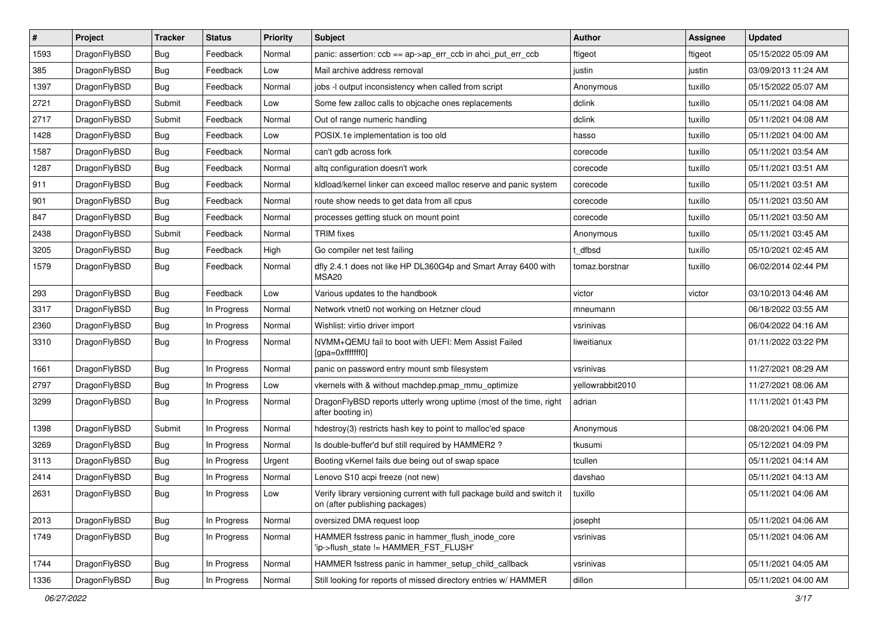| $\pmb{\#}$ | Project      | <b>Tracker</b> | <b>Status</b> | <b>Priority</b> | <b>Subject</b>                                                                                            | <b>Author</b>    | <b>Assignee</b> | <b>Updated</b>      |
|------------|--------------|----------------|---------------|-----------------|-----------------------------------------------------------------------------------------------------------|------------------|-----------------|---------------------|
| 1593       | DragonFlyBSD | Bug            | Feedback      | Normal          | panic: assertion: ccb == ap->ap_err_ccb in ahci_put_err_ccb                                               | ftigeot          | ftigeot         | 05/15/2022 05:09 AM |
| 385        | DragonFlyBSD | Bug            | Feedback      | Low             | Mail archive address removal                                                                              | justin           | justin          | 03/09/2013 11:24 AM |
| 1397       | DragonFlyBSD | Bug            | Feedback      | Normal          | jobs -I output inconsistency when called from script                                                      | Anonymous        | tuxillo         | 05/15/2022 05:07 AM |
| 2721       | DragonFlyBSD | Submit         | Feedback      | Low             | Some few zalloc calls to objcache ones replacements                                                       | dclink           | tuxillo         | 05/11/2021 04:08 AM |
| 2717       | DragonFlyBSD | Submit         | Feedback      | Normal          | Out of range numeric handling                                                                             | dclink           | tuxillo         | 05/11/2021 04:08 AM |
| 1428       | DragonFlyBSD | Bug            | Feedback      | Low             | POSIX.1e implementation is too old                                                                        | hasso            | tuxillo         | 05/11/2021 04:00 AM |
| 1587       | DragonFlyBSD | Bug            | Feedback      | Normal          | can't gdb across fork                                                                                     | corecode         | tuxillo         | 05/11/2021 03:54 AM |
| 1287       | DragonFlyBSD | Bug            | Feedback      | Normal          | altg configuration doesn't work                                                                           | corecode         | tuxillo         | 05/11/2021 03:51 AM |
| 911        | DragonFlyBSD | Bug            | Feedback      | Normal          | kldload/kernel linker can exceed malloc reserve and panic system                                          | corecode         | tuxillo         | 05/11/2021 03:51 AM |
| 901        | DragonFlyBSD | Bug            | Feedback      | Normal          | route show needs to get data from all cpus                                                                | corecode         | tuxillo         | 05/11/2021 03:50 AM |
| 847        | DragonFlyBSD | <b>Bug</b>     | Feedback      | Normal          | processes getting stuck on mount point                                                                    | corecode         | tuxillo         | 05/11/2021 03:50 AM |
| 2438       | DragonFlyBSD | Submit         | Feedback      | Normal          | <b>TRIM</b> fixes                                                                                         | Anonymous        | tuxillo         | 05/11/2021 03:45 AM |
| 3205       | DragonFlyBSD | Bug            | Feedback      | High            | Go compiler net test failing                                                                              | t dfbsd          | tuxillo         | 05/10/2021 02:45 AM |
| 1579       | DragonFlyBSD | Bug            | Feedback      | Normal          | dfly 2.4.1 does not like HP DL360G4p and Smart Array 6400 with<br>MSA <sub>20</sub>                       | tomaz.borstnar   | tuxillo         | 06/02/2014 02:44 PM |
| 293        | DragonFlyBSD | Bug            | Feedback      | Low             | Various updates to the handbook                                                                           | victor           | victor          | 03/10/2013 04:46 AM |
| 3317       | DragonFlyBSD | Bug            | In Progress   | Normal          | Network vtnet0 not working on Hetzner cloud                                                               | mneumann         |                 | 06/18/2022 03:55 AM |
| 2360       | DragonFlyBSD | Bug            | In Progress   | Normal          | Wishlist: virtio driver import                                                                            | vsrinivas        |                 | 06/04/2022 04:16 AM |
| 3310       | DragonFlyBSD | Bug            | In Progress   | Normal          | NVMM+QEMU fail to boot with UEFI: Mem Assist Failed<br>[gpa=0xfffffff0]                                   | liweitianux      |                 | 01/11/2022 03:22 PM |
| 1661       | DragonFlyBSD | Bug            | In Progress   | Normal          | panic on password entry mount smb filesystem                                                              | vsrinivas        |                 | 11/27/2021 08:29 AM |
| 2797       | DragonFlyBSD | Bug            | In Progress   | Low             | vkernels with & without machdep.pmap_mmu_optimize                                                         | yellowrabbit2010 |                 | 11/27/2021 08:06 AM |
| 3299       | DragonFlyBSD | Bug            | In Progress   | Normal          | DragonFlyBSD reports utterly wrong uptime (most of the time, right<br>after booting in)                   | adrian           |                 | 11/11/2021 01:43 PM |
| 1398       | DragonFlyBSD | Submit         | In Progress   | Normal          | hdestroy(3) restricts hash key to point to malloc'ed space                                                | Anonymous        |                 | 08/20/2021 04:06 PM |
| 3269       | DragonFlyBSD | Bug            | In Progress   | Normal          | Is double-buffer'd buf still required by HAMMER2 ?                                                        | tkusumi          |                 | 05/12/2021 04:09 PM |
| 3113       | DragonFlyBSD | Bug            | In Progress   | Urgent          | Booting vKernel fails due being out of swap space                                                         | tcullen          |                 | 05/11/2021 04:14 AM |
| 2414       | DragonFlyBSD | <b>Bug</b>     | In Progress   | Normal          | Lenovo S10 acpi freeze (not new)                                                                          | davshao          |                 | 05/11/2021 04:13 AM |
| 2631       | DragonFlyBSD | i Bug          | In Progress   | Low             | Verify library versioning current with full package build and switch it<br>on (after publishing packages) | tuxillo          |                 | 05/11/2021 04:06 AM |
| 2013       | DragonFlyBSD | Bug            | In Progress   | Normal          | oversized DMA request loop                                                                                | josepht          |                 | 05/11/2021 04:06 AM |
| 1749       | DragonFlyBSD | Bug            | In Progress   | Normal          | HAMMER fsstress panic in hammer_flush_inode_core<br>'ip->flush_state != HAMMER_FST_FLUSH'                 | vsrinivas        |                 | 05/11/2021 04:06 AM |
| 1744       | DragonFlyBSD | Bug            | In Progress   | Normal          | HAMMER fsstress panic in hammer_setup_child_callback                                                      | vsrinivas        |                 | 05/11/2021 04:05 AM |
| 1336       | DragonFlyBSD | Bug            | In Progress   | Normal          | Still looking for reports of missed directory entries w/ HAMMER                                           | dillon           |                 | 05/11/2021 04:00 AM |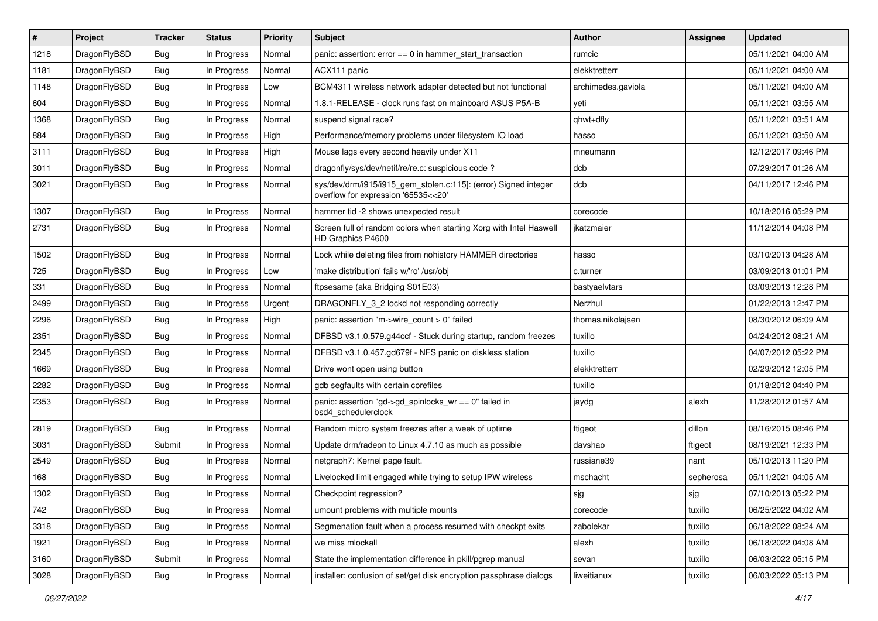| #    | Project      | <b>Tracker</b> | <b>Status</b> | <b>Priority</b> | <b>Subject</b>                                                                                         | <b>Author</b>      | Assignee  | <b>Updated</b>      |
|------|--------------|----------------|---------------|-----------------|--------------------------------------------------------------------------------------------------------|--------------------|-----------|---------------------|
| 1218 | DragonFlyBSD | <b>Bug</b>     | In Progress   | Normal          | panic: assertion: error == 0 in hammer_start_transaction                                               | rumcic             |           | 05/11/2021 04:00 AM |
| 1181 | DragonFlyBSD | Bug            | In Progress   | Normal          | ACX111 panic                                                                                           | elekktretterr      |           | 05/11/2021 04:00 AM |
| 1148 | DragonFlyBSD | Bug            | In Progress   | Low             | BCM4311 wireless network adapter detected but not functional                                           | archimedes.gaviola |           | 05/11/2021 04:00 AM |
| 604  | DragonFlyBSD | Bug            | In Progress   | Normal          | 1.8.1-RELEASE - clock runs fast on mainboard ASUS P5A-B                                                | yeti               |           | 05/11/2021 03:55 AM |
| 1368 | DragonFlyBSD | <b>Bug</b>     | In Progress   | Normal          | suspend signal race?                                                                                   | qhwt+dfly          |           | 05/11/2021 03:51 AM |
| 884  | DragonFlyBSD | <b>Bug</b>     | In Progress   | High            | Performance/memory problems under filesystem IO load                                                   | hasso              |           | 05/11/2021 03:50 AM |
| 3111 | DragonFlyBSD | <b>Bug</b>     | In Progress   | High            | Mouse lags every second heavily under X11                                                              | mneumann           |           | 12/12/2017 09:46 PM |
| 3011 | DragonFlyBSD | Bug            | In Progress   | Normal          | dragonfly/sys/dev/netif/re/re.c: suspicious code?                                                      | dcb                |           | 07/29/2017 01:26 AM |
| 3021 | DragonFlyBSD | <b>Bug</b>     | In Progress   | Normal          | sys/dev/drm/i915/i915_gem_stolen.c:115]: (error) Signed integer<br>overflow for expression '65535<<20' | dcb                |           | 04/11/2017 12:46 PM |
| 1307 | DragonFlyBSD | Bug            | In Progress   | Normal          | hammer tid -2 shows unexpected result                                                                  | corecode           |           | 10/18/2016 05:29 PM |
| 2731 | DragonFlyBSD | <b>Bug</b>     | In Progress   | Normal          | Screen full of random colors when starting Xorg with Intel Haswell<br>HD Graphics P4600                | jkatzmaier         |           | 11/12/2014 04:08 PM |
| 1502 | DragonFlyBSD | Bug            | In Progress   | Normal          | Lock while deleting files from nohistory HAMMER directories                                            | hasso              |           | 03/10/2013 04:28 AM |
| 725  | DragonFlyBSD | <b>Bug</b>     | In Progress   | Low             | 'make distribution' fails w/'ro' /usr/obj                                                              | c.turner           |           | 03/09/2013 01:01 PM |
| 331  | DragonFlyBSD | <b>Bug</b>     | In Progress   | Normal          | ftpsesame (aka Bridging S01E03)                                                                        | bastyaelvtars      |           | 03/09/2013 12:28 PM |
| 2499 | DragonFlyBSD | <b>Bug</b>     | In Progress   | Urgent          | DRAGONFLY 3 2 lockd not responding correctly                                                           | Nerzhul            |           | 01/22/2013 12:47 PM |
| 2296 | DragonFlyBSD | Bug            | In Progress   | High            | panic: assertion "m->wire count > 0" failed                                                            | thomas.nikolajsen  |           | 08/30/2012 06:09 AM |
| 2351 | DragonFlyBSD | <b>Bug</b>     | In Progress   | Normal          | DFBSD v3.1.0.579.g44ccf - Stuck during startup, random freezes                                         | tuxillo            |           | 04/24/2012 08:21 AM |
| 2345 | DragonFlyBSD | <b>Bug</b>     | In Progress   | Normal          | DFBSD v3.1.0.457.gd679f - NFS panic on diskless station                                                | tuxillo            |           | 04/07/2012 05:22 PM |
| 1669 | DragonFlyBSD | <b>Bug</b>     | In Progress   | Normal          | Drive wont open using button                                                                           | elekktretterr      |           | 02/29/2012 12:05 PM |
| 2282 | DragonFlyBSD | <b>Bug</b>     | In Progress   | Normal          | gdb segfaults with certain corefiles                                                                   | tuxillo            |           | 01/18/2012 04:40 PM |
| 2353 | DragonFlyBSD | Bug            | In Progress   | Normal          | panic: assertion "gd->gd_spinlocks_wr == 0" failed in<br>bsd4_schedulerclock                           | jaydg              | alexh     | 11/28/2012 01:57 AM |
| 2819 | DragonFlyBSD | Bug            | In Progress   | Normal          | Random micro system freezes after a week of uptime                                                     | ftigeot            | dillon    | 08/16/2015 08:46 PM |
| 3031 | DragonFlyBSD | Submit         | In Progress   | Normal          | Update drm/radeon to Linux 4.7.10 as much as possible                                                  | davshao            | ftigeot   | 08/19/2021 12:33 PM |
| 2549 | DragonFlyBSD | <b>Bug</b>     | In Progress   | Normal          | netgraph7: Kernel page fault.                                                                          | russiane39         | nant      | 05/10/2013 11:20 PM |
| 168  | DragonFlyBSD | Bug            | In Progress   | Normal          | Livelocked limit engaged while trying to setup IPW wireless                                            | mschacht           | sepherosa | 05/11/2021 04:05 AM |
| 1302 | DragonFlyBSD | Bug            | In Progress   | Normal          | Checkpoint regression?                                                                                 | sjg                | sjg       | 07/10/2013 05:22 PM |
| 742  | DragonFlyBSD | Bug            | In Progress   | Normal          | umount problems with multiple mounts                                                                   | corecode           | tuxillo   | 06/25/2022 04:02 AM |
| 3318 | DragonFlyBSD | Bug            | In Progress   | Normal          | Segmenation fault when a process resumed with checkpt exits                                            | zabolekar          | tuxillo   | 06/18/2022 08:24 AM |
| 1921 | DragonFlyBSD | <b>Bug</b>     | In Progress   | Normal          | we miss mlockall                                                                                       | alexh              | tuxillo   | 06/18/2022 04:08 AM |
| 3160 | DragonFlyBSD | Submit         | In Progress   | Normal          | State the implementation difference in pkill/pgrep manual                                              | sevan              | tuxillo   | 06/03/2022 05:15 PM |
| 3028 | DragonFlyBSD | <b>Bug</b>     | In Progress   | Normal          | installer: confusion of set/get disk encryption passphrase dialogs                                     | liweitianux        | tuxillo   | 06/03/2022 05:13 PM |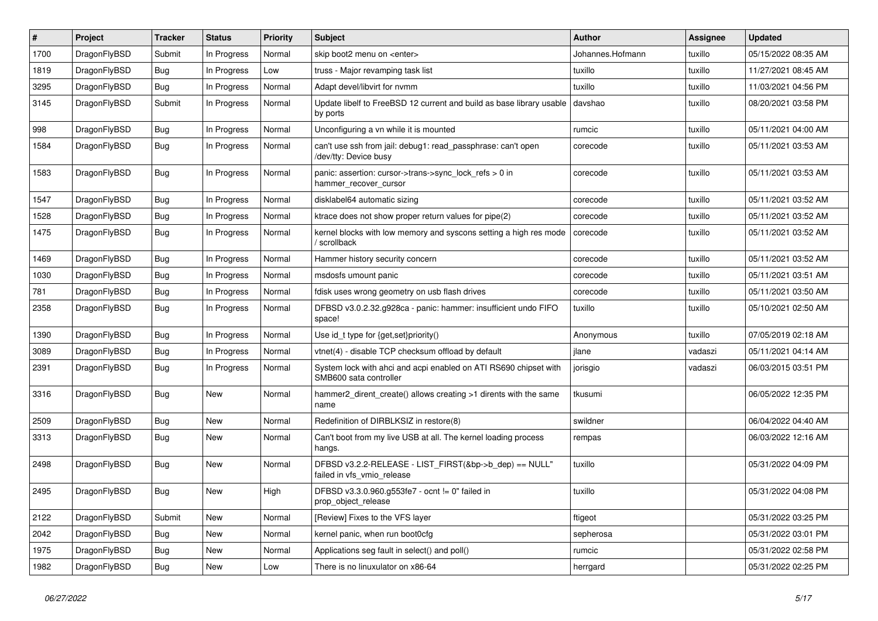| $\#$ | Project      | <b>Tracker</b> | <b>Status</b> | <b>Priority</b> | Subject                                                                                    | <b>Author</b>    | <b>Assignee</b> | <b>Updated</b>      |
|------|--------------|----------------|---------------|-----------------|--------------------------------------------------------------------------------------------|------------------|-----------------|---------------------|
| 1700 | DragonFlyBSD | Submit         | In Progress   | Normal          | skip boot2 menu on <enter></enter>                                                         | Johannes.Hofmann | tuxillo         | 05/15/2022 08:35 AM |
| 1819 | DragonFlyBSD | Bug            | In Progress   | Low             | truss - Major revamping task list                                                          | tuxillo          | tuxillo         | 11/27/2021 08:45 AM |
| 3295 | DragonFlyBSD | <b>Bug</b>     | In Progress   | Normal          | Adapt devel/libvirt for nvmm                                                               | tuxillo          | tuxillo         | 11/03/2021 04:56 PM |
| 3145 | DragonFlyBSD | Submit         | In Progress   | Normal          | Update libelf to FreeBSD 12 current and build as base library usable<br>by ports           | davshao          | tuxillo         | 08/20/2021 03:58 PM |
| 998  | DragonFlyBSD | Bug            | In Progress   | Normal          | Unconfiguring a vn while it is mounted                                                     | rumcic           | tuxillo         | 05/11/2021 04:00 AM |
| 1584 | DragonFlyBSD | Bug            | In Progress   | Normal          | can't use ssh from jail: debug1: read_passphrase: can't open<br>/dev/tty: Device busy      | corecode         | tuxillo         | 05/11/2021 03:53 AM |
| 1583 | DragonFlyBSD | Bug            | In Progress   | Normal          | panic: assertion: cursor->trans->sync_lock_refs > 0 in<br>hammer_recover_cursor            | corecode         | tuxillo         | 05/11/2021 03:53 AM |
| 1547 | DragonFlyBSD | <b>Bug</b>     | In Progress   | Normal          | disklabel64 automatic sizing                                                               | corecode         | tuxillo         | 05/11/2021 03:52 AM |
| 1528 | DragonFlyBSD | <b>Bug</b>     | In Progress   | Normal          | ktrace does not show proper return values for pipe(2)                                      | corecode         | tuxillo         | 05/11/2021 03:52 AM |
| 1475 | DragonFlyBSD | Bug            | In Progress   | Normal          | kernel blocks with low memory and syscons setting a high res mode<br>/ scrollback          | corecode         | tuxillo         | 05/11/2021 03:52 AM |
| 1469 | DragonFlyBSD | <b>Bug</b>     | In Progress   | Normal          | Hammer history security concern                                                            | corecode         | tuxillo         | 05/11/2021 03:52 AM |
| 1030 | DragonFlyBSD | <b>Bug</b>     | In Progress   | Normal          | msdosfs umount panic                                                                       | corecode         | tuxillo         | 05/11/2021 03:51 AM |
| 781  | DragonFlyBSD | <b>Bug</b>     | In Progress   | Normal          | fdisk uses wrong geometry on usb flash drives                                              | corecode         | tuxillo         | 05/11/2021 03:50 AM |
| 2358 | DragonFlyBSD | Bug            | In Progress   | Normal          | DFBSD v3.0.2.32.g928ca - panic: hammer: insufficient undo FIFO<br>space!                   | tuxillo          | tuxillo         | 05/10/2021 02:50 AM |
| 1390 | DragonFlyBSD | <b>Bug</b>     | In Progress   | Normal          | Use id_t type for {get,set}priority()                                                      | Anonymous        | tuxillo         | 07/05/2019 02:18 AM |
| 3089 | DragonFlyBSD | Bug            | In Progress   | Normal          | vtnet(4) - disable TCP checksum offload by default                                         | jlane            | vadaszi         | 05/11/2021 04:14 AM |
| 2391 | DragonFlyBSD | <b>Bug</b>     | In Progress   | Normal          | System lock with ahci and acpi enabled on ATI RS690 chipset with<br>SMB600 sata controller | jorisgio         | vadaszi         | 06/03/2015 03:51 PM |
| 3316 | DragonFlyBSD | Bug            | New           | Normal          | hammer2_dirent_create() allows creating >1 dirents with the same<br>name                   | tkusumi          |                 | 06/05/2022 12:35 PM |
| 2509 | DragonFlyBSD | <b>Bug</b>     | <b>New</b>    | Normal          | Redefinition of DIRBLKSIZ in restore(8)                                                    | swildner         |                 | 06/04/2022 04:40 AM |
| 3313 | DragonFlyBSD | <b>Bug</b>     | New           | Normal          | Can't boot from my live USB at all. The kernel loading process<br>hangs.                   | rempas           |                 | 06/03/2022 12:16 AM |
| 2498 | DragonFlyBSD | <b>Bug</b>     | New           | Normal          | DFBSD v3.2.2-RELEASE - LIST FIRST(&bp->b dep) == NULL"<br>failed in vfs vmio release       | tuxillo          |                 | 05/31/2022 04:09 PM |
| 2495 | DragonFlyBSD | <b>Bug</b>     | New           | High            | DFBSD v3.3.0.960.g553fe7 - ocnt != 0" failed in<br>prop_object_release                     | tuxillo          |                 | 05/31/2022 04:08 PM |
| 2122 | DragonFlyBSD | Submit         | New           | Normal          | [Review] Fixes to the VFS layer                                                            | ftigeot          |                 | 05/31/2022 03:25 PM |
| 2042 | DragonFlyBSD | <b>Bug</b>     | New           | Normal          | kernel panic, when run boot0cfg                                                            | sepherosa        |                 | 05/31/2022 03:01 PM |
| 1975 | DragonFlyBSD | <b>Bug</b>     | New           | Normal          | Applications seg fault in select() and poll()                                              | rumcic           |                 | 05/31/2022 02:58 PM |
| 1982 | DragonFlyBSD | <b>Bug</b>     | New           | Low             | There is no linuxulator on x86-64                                                          | herrgard         |                 | 05/31/2022 02:25 PM |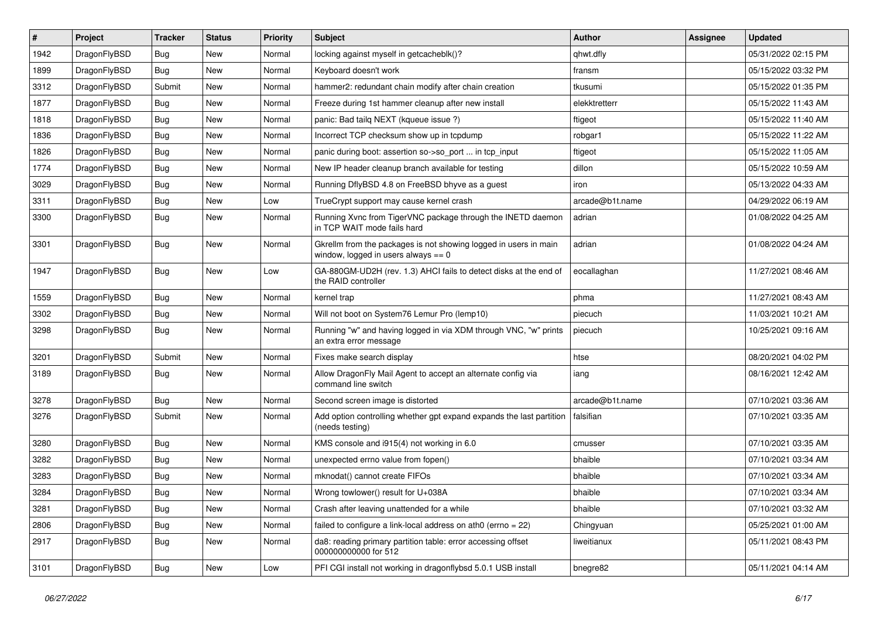| $\sharp$ | Project      | <b>Tracker</b> | <b>Status</b> | <b>Priority</b> | Subject                                                                                                   | Author          | Assignee | <b>Updated</b>      |
|----------|--------------|----------------|---------------|-----------------|-----------------------------------------------------------------------------------------------------------|-----------------|----------|---------------------|
| 1942     | DragonFlyBSD | Bug            | New           | Normal          | locking against myself in getcacheblk()?                                                                  | qhwt.dfly       |          | 05/31/2022 02:15 PM |
| 1899     | DragonFlyBSD | Bug            | New           | Normal          | Keyboard doesn't work                                                                                     | fransm          |          | 05/15/2022 03:32 PM |
| 3312     | DragonFlyBSD | Submit         | New           | Normal          | hammer2: redundant chain modify after chain creation                                                      | tkusumi         |          | 05/15/2022 01:35 PM |
| 1877     | DragonFlyBSD | Bug            | New           | Normal          | Freeze during 1st hammer cleanup after new install                                                        | elekktretterr   |          | 05/15/2022 11:43 AM |
| 1818     | DragonFlyBSD | Bug            | <b>New</b>    | Normal          | panic: Bad tailq NEXT (kqueue issue ?)                                                                    | ftigeot         |          | 05/15/2022 11:40 AM |
| 1836     | DragonFlyBSD | Bug            | <b>New</b>    | Normal          | Incorrect TCP checksum show up in tcpdump                                                                 | robgar1         |          | 05/15/2022 11:22 AM |
| 1826     | DragonFlyBSD | Bug            | New           | Normal          | panic during boot: assertion so->so_port  in tcp_input                                                    | ftigeot         |          | 05/15/2022 11:05 AM |
| 1774     | DragonFlyBSD | Bug            | <b>New</b>    | Normal          | New IP header cleanup branch available for testing                                                        | dillon          |          | 05/15/2022 10:59 AM |
| 3029     | DragonFlyBSD | <b>Bug</b>     | New           | Normal          | Running DflyBSD 4.8 on FreeBSD bhyve as a guest                                                           | iron            |          | 05/13/2022 04:33 AM |
| 3311     | DragonFlyBSD | <b>Bug</b>     | New           | Low             | TrueCrypt support may cause kernel crash                                                                  | arcade@b1t.name |          | 04/29/2022 06:19 AM |
| 3300     | DragonFlyBSD | <b>Bug</b>     | New           | Normal          | Running Xvnc from TigerVNC package through the INETD daemon<br>in TCP WAIT mode fails hard                | adrian          |          | 01/08/2022 04:25 AM |
| 3301     | DragonFlyBSD | <b>Bug</b>     | <b>New</b>    | Normal          | Gkrellm from the packages is not showing logged in users in main<br>window, logged in users always $== 0$ | adrian          |          | 01/08/2022 04:24 AM |
| 1947     | DragonFlyBSD | <b>Bug</b>     | New           | Low             | GA-880GM-UD2H (rev. 1.3) AHCI fails to detect disks at the end of<br>the RAID controller                  | eocallaghan     |          | 11/27/2021 08:46 AM |
| 1559     | DragonFlyBSD | <b>Bug</b>     | <b>New</b>    | Normal          | kernel trap                                                                                               | phma            |          | 11/27/2021 08:43 AM |
| 3302     | DragonFlyBSD | <b>Bug</b>     | <b>New</b>    | Normal          | Will not boot on System76 Lemur Pro (lemp10)                                                              | piecuch         |          | 11/03/2021 10:21 AM |
| 3298     | DragonFlyBSD | <b>Bug</b>     | New           | Normal          | Running "w" and having logged in via XDM through VNC, "w" prints<br>an extra error message                | piecuch         |          | 10/25/2021 09:16 AM |
| 3201     | DragonFlyBSD | Submit         | New           | Normal          | Fixes make search display                                                                                 | htse            |          | 08/20/2021 04:02 PM |
| 3189     | DragonFlyBSD | <b>Bug</b>     | New           | Normal          | Allow DragonFly Mail Agent to accept an alternate config via<br>command line switch                       | iang            |          | 08/16/2021 12:42 AM |
| 3278     | DragonFlyBSD | <b>Bug</b>     | New           | Normal          | Second screen image is distorted                                                                          | arcade@b1t.name |          | 07/10/2021 03:36 AM |
| 3276     | DragonFlyBSD | Submit         | New           | Normal          | Add option controlling whether gpt expand expands the last partition<br>(needs testing)                   | falsifian       |          | 07/10/2021 03:35 AM |
| 3280     | DragonFlyBSD | Bug            | <b>New</b>    | Normal          | KMS console and i915(4) not working in 6.0                                                                | cmusser         |          | 07/10/2021 03:35 AM |
| 3282     | DragonFlyBSD | <b>Bug</b>     | New           | Normal          | unexpected errno value from fopen()                                                                       | bhaible         |          | 07/10/2021 03:34 AM |
| 3283     | DragonFlyBSD | <b>Bug</b>     | New           | Normal          | mknodat() cannot create FIFOs                                                                             | bhaible         |          | 07/10/2021 03:34 AM |
| 3284     | DragonFlyBSD | <b>Bug</b>     | <b>New</b>    | Normal          | Wrong towlower() result for U+038A                                                                        | bhaible         |          | 07/10/2021 03:34 AM |
| 3281     | DragonFlyBSD | <b>Bug</b>     | New           | Normal          | Crash after leaving unattended for a while                                                                | bhaible         |          | 07/10/2021 03:32 AM |
| 2806     | DragonFlyBSD | Bug            | New           | Normal          | failed to configure a link-local address on ath0 (errno = $22$ )                                          | Chingyuan       |          | 05/25/2021 01:00 AM |
| 2917     | DragonFlyBSD | <b>Bug</b>     | New           | Normal          | da8: reading primary partition table: error accessing offset<br>000000000000 for 512                      | liweitianux     |          | 05/11/2021 08:43 PM |
| 3101     | DragonFlyBSD | <b>Bug</b>     | New           | Low             | PFI CGI install not working in dragonflybsd 5.0.1 USB install                                             | bnegre82        |          | 05/11/2021 04:14 AM |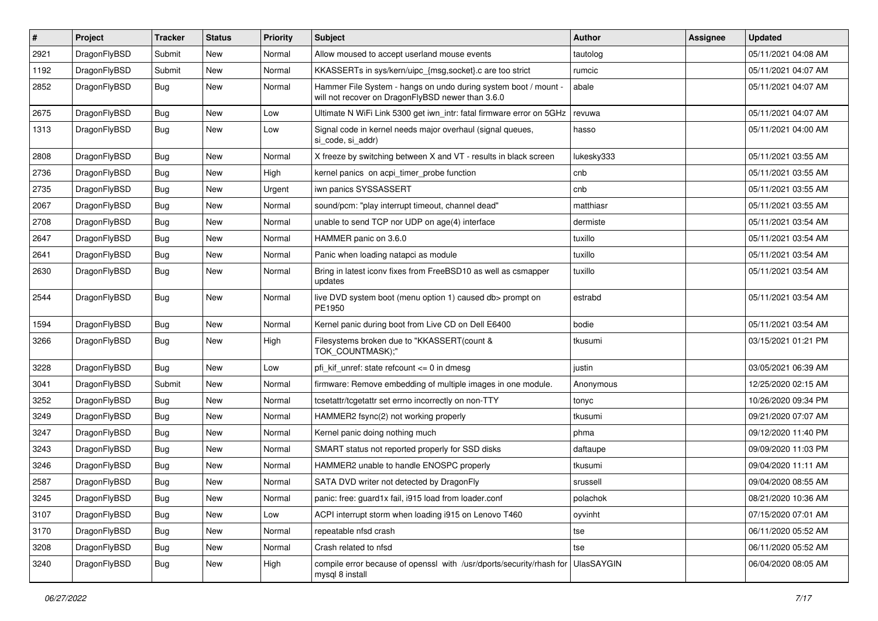| $\sharp$ | Project      | <b>Tracker</b> | <b>Status</b> | <b>Priority</b> | Subject                                                                                                              | <b>Author</b>     | Assignee | <b>Updated</b>      |
|----------|--------------|----------------|---------------|-----------------|----------------------------------------------------------------------------------------------------------------------|-------------------|----------|---------------------|
| 2921     | DragonFlyBSD | Submit         | <b>New</b>    | Normal          | Allow moused to accept userland mouse events                                                                         | tautolog          |          | 05/11/2021 04:08 AM |
| 1192     | DragonFlyBSD | Submit         | New           | Normal          | KKASSERTs in sys/kern/uipc_{msg,socket}.c are too strict                                                             | rumcic            |          | 05/11/2021 04:07 AM |
| 2852     | DragonFlyBSD | <b>Bug</b>     | New           | Normal          | Hammer File System - hangs on undo during system boot / mount -<br>will not recover on DragonFlyBSD newer than 3.6.0 | abale             |          | 05/11/2021 04:07 AM |
| 2675     | DragonFlyBSD | <b>Bug</b>     | <b>New</b>    | Low             | Ultimate N WiFi Link 5300 get iwn_intr: fatal firmware error on 5GHz                                                 | revuwa            |          | 05/11/2021 04:07 AM |
| 1313     | DragonFlyBSD | <b>Bug</b>     | <b>New</b>    | Low             | Signal code in kernel needs major overhaul (signal queues,<br>si code, si addr)                                      | hasso             |          | 05/11/2021 04:00 AM |
| 2808     | DragonFlyBSD | Bug            | <b>New</b>    | Normal          | X freeze by switching between X and VT - results in black screen                                                     | lukesky333        |          | 05/11/2021 03:55 AM |
| 2736     | DragonFlyBSD | <b>Bug</b>     | New           | High            | kernel panics on acpi timer probe function                                                                           | cnb               |          | 05/11/2021 03:55 AM |
| 2735     | DragonFlyBSD | <b>Bug</b>     | <b>New</b>    | Urgent          | iwn panics SYSSASSERT                                                                                                | cnb               |          | 05/11/2021 03:55 AM |
| 2067     | DragonFlyBSD | <b>Bug</b>     | New           | Normal          | sound/pcm: "play interrupt timeout, channel dead"                                                                    | matthiasr         |          | 05/11/2021 03:55 AM |
| 2708     | DragonFlyBSD | <b>Bug</b>     | New           | Normal          | unable to send TCP nor UDP on age(4) interface                                                                       | dermiste          |          | 05/11/2021 03:54 AM |
| 2647     | DragonFlyBSD | Bug            | New           | Normal          | HAMMER panic on 3.6.0                                                                                                | tuxillo           |          | 05/11/2021 03:54 AM |
| 2641     | DragonFlyBSD | Bug            | New           | Normal          | Panic when loading natapci as module                                                                                 | tuxillo           |          | 05/11/2021 03:54 AM |
| 2630     | DragonFlyBSD | Bug            | New           | Normal          | Bring in latest iconv fixes from FreeBSD10 as well as csmapper<br>updates                                            | tuxillo           |          | 05/11/2021 03:54 AM |
| 2544     | DragonFlyBSD | Bug            | New           | Normal          | live DVD system boot (menu option 1) caused db> prompt on<br>PE1950                                                  | estrabd           |          | 05/11/2021 03:54 AM |
| 1594     | DragonFlyBSD | Bug            | <b>New</b>    | Normal          | Kernel panic during boot from Live CD on Dell E6400                                                                  | bodie             |          | 05/11/2021 03:54 AM |
| 3266     | DragonFlyBSD | Bug            | New           | High            | Filesystems broken due to "KKASSERT(count &<br>TOK_COUNTMASK);"                                                      | tkusumi           |          | 03/15/2021 01:21 PM |
| 3228     | DragonFlyBSD | Bug            | <b>New</b>    | Low             | pfi kif unref: state refcount $\leq$ 0 in dmesg                                                                      | justin            |          | 03/05/2021 06:39 AM |
| 3041     | DragonFlyBSD | Submit         | <b>New</b>    | Normal          | firmware: Remove embedding of multiple images in one module.                                                         | Anonymous         |          | 12/25/2020 02:15 AM |
| 3252     | DragonFlyBSD | Bug            | <b>New</b>    | Normal          | tcsetattr/tcgetattr set errno incorrectly on non-TTY                                                                 | tonyc             |          | 10/26/2020 09:34 PM |
| 3249     | DragonFlyBSD | Bug            | New           | Normal          | HAMMER2 fsync(2) not working properly                                                                                | tkusumi           |          | 09/21/2020 07:07 AM |
| 3247     | DragonFlyBSD | Bug            | <b>New</b>    | Normal          | Kernel panic doing nothing much                                                                                      | phma              |          | 09/12/2020 11:40 PM |
| 3243     | DragonFlyBSD | Bug            | New           | Normal          | SMART status not reported properly for SSD disks                                                                     | daftaupe          |          | 09/09/2020 11:03 PM |
| 3246     | DragonFlyBSD | Bug            | New           | Normal          | HAMMER2 unable to handle ENOSPC properly                                                                             | tkusumi           |          | 09/04/2020 11:11 AM |
| 2587     | DragonFlyBSD | <b>Bug</b>     | <b>New</b>    | Normal          | SATA DVD writer not detected by DragonFly                                                                            | srussell          |          | 09/04/2020 08:55 AM |
| 3245     | DragonFlyBSD | <b>Bug</b>     | New           | Normal          | panic: free: guard1x fail, i915 load from loader.conf                                                                | polachok          |          | 08/21/2020 10:36 AM |
| 3107     | DragonFlyBSD | <b>Bug</b>     | <b>New</b>    | Low             | ACPI interrupt storm when loading i915 on Lenovo T460                                                                | oyvinht           |          | 07/15/2020 07:01 AM |
| 3170     | DragonFlyBSD | <b>Bug</b>     | <b>New</b>    | Normal          | repeatable nfsd crash                                                                                                | tse               |          | 06/11/2020 05:52 AM |
| 3208     | DragonFlyBSD | Bug            | New           | Normal          | Crash related to nfsd                                                                                                | tse               |          | 06/11/2020 05:52 AM |
| 3240     | DragonFlyBSD | <b>Bug</b>     | New           | High            | compile error because of openssl with /usr/dports/security/rhash for<br>mysql 8 install                              | <b>UlasSAYGIN</b> |          | 06/04/2020 08:05 AM |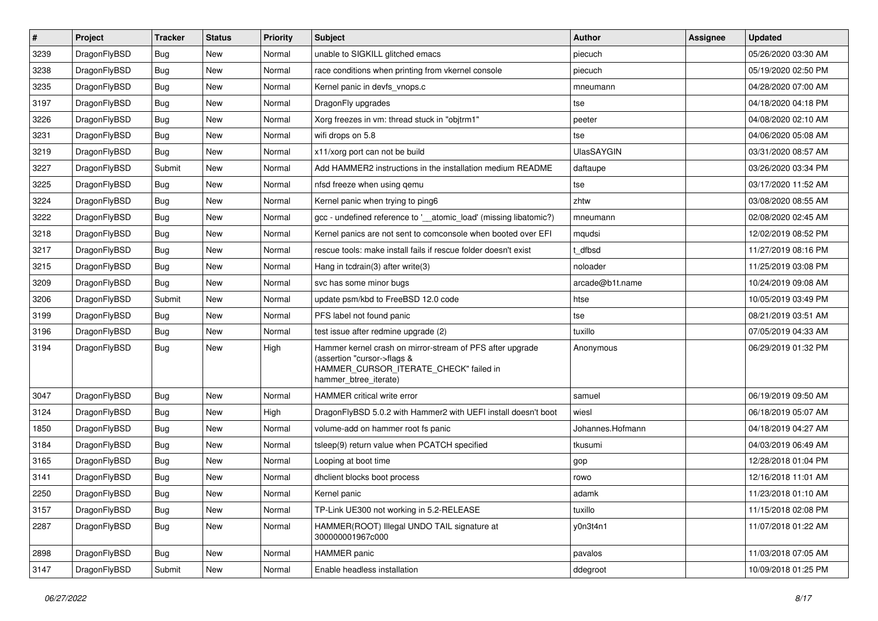| $\sharp$ | Project      | <b>Tracker</b> | <b>Status</b> | <b>Priority</b> | Subject                                                                                                                                                     | Author            | Assignee | <b>Updated</b>      |
|----------|--------------|----------------|---------------|-----------------|-------------------------------------------------------------------------------------------------------------------------------------------------------------|-------------------|----------|---------------------|
| 3239     | DragonFlyBSD | Bug            | New           | Normal          | unable to SIGKILL glitched emacs                                                                                                                            | piecuch           |          | 05/26/2020 03:30 AM |
| 3238     | DragonFlyBSD | Bug            | <b>New</b>    | Normal          | race conditions when printing from vkernel console                                                                                                          | piecuch           |          | 05/19/2020 02:50 PM |
| 3235     | DragonFlyBSD | <b>Bug</b>     | <b>New</b>    | Normal          | Kernel panic in devfs vnops.c                                                                                                                               | mneumann          |          | 04/28/2020 07:00 AM |
| 3197     | DragonFlyBSD | Bug            | New           | Normal          | DragonFly upgrades                                                                                                                                          | tse               |          | 04/18/2020 04:18 PM |
| 3226     | DragonFlyBSD | Bug            | <b>New</b>    | Normal          | Xorg freezes in vm: thread stuck in "objtrm1"                                                                                                               | peeter            |          | 04/08/2020 02:10 AM |
| 3231     | DragonFlyBSD | Bug            | <b>New</b>    | Normal          | wifi drops on 5.8                                                                                                                                           | tse               |          | 04/06/2020 05:08 AM |
| 3219     | DragonFlyBSD | Bug            | New           | Normal          | x11/xorg port can not be build                                                                                                                              | <b>UlasSAYGIN</b> |          | 03/31/2020 08:57 AM |
| 3227     | DragonFlyBSD | Submit         | <b>New</b>    | Normal          | Add HAMMER2 instructions in the installation medium README                                                                                                  | daftaupe          |          | 03/26/2020 03:34 PM |
| 3225     | DragonFlyBSD | Bug            | New           | Normal          | nfsd freeze when using gemu                                                                                                                                 | tse               |          | 03/17/2020 11:52 AM |
| 3224     | DragonFlyBSD | Bug            | <b>New</b>    | Normal          | Kernel panic when trying to ping6                                                                                                                           | zhtw              |          | 03/08/2020 08:55 AM |
| 3222     | DragonFlyBSD | Bug            | New           | Normal          | gcc - undefined reference to '__atomic_load' (missing libatomic?)                                                                                           | mneumann          |          | 02/08/2020 02:45 AM |
| 3218     | DragonFlyBSD | Bug            | <b>New</b>    | Normal          | Kernel panics are not sent to comconsole when booted over EFI                                                                                               | mqudsi            |          | 12/02/2019 08:52 PM |
| 3217     | DragonFlyBSD | <b>Bug</b>     | New           | Normal          | rescue tools: make install fails if rescue folder doesn't exist                                                                                             | t dfbsd           |          | 11/27/2019 08:16 PM |
| 3215     | DragonFlyBSD | Bug            | New           | Normal          | Hang in tcdrain(3) after write(3)                                                                                                                           | noloader          |          | 11/25/2019 03:08 PM |
| 3209     | DragonFlyBSD | Bug            | <b>New</b>    | Normal          | svc has some minor bugs                                                                                                                                     | arcade@b1t.name   |          | 10/24/2019 09:08 AM |
| 3206     | DragonFlyBSD | Submit         | New           | Normal          | update psm/kbd to FreeBSD 12.0 code                                                                                                                         | htse              |          | 10/05/2019 03:49 PM |
| 3199     | DragonFlyBSD | Bug            | New           | Normal          | PFS label not found panic                                                                                                                                   | tse               |          | 08/21/2019 03:51 AM |
| 3196     | DragonFlyBSD | Bug            | New           | Normal          | test issue after redmine upgrade (2)                                                                                                                        | tuxillo           |          | 07/05/2019 04:33 AM |
| 3194     | DragonFlyBSD | Bug            | <b>New</b>    | High            | Hammer kernel crash on mirror-stream of PFS after upgrade<br>(assertion "cursor->flags &<br>HAMMER_CURSOR_ITERATE_CHECK" failed in<br>hammer_btree_iterate) | Anonymous         |          | 06/29/2019 01:32 PM |
| 3047     | DragonFlyBSD | Bug            | <b>New</b>    | Normal          | HAMMER critical write error                                                                                                                                 | samuel            |          | 06/19/2019 09:50 AM |
| 3124     | DragonFlyBSD | Bug            | <b>New</b>    | High            | DragonFlyBSD 5.0.2 with Hammer2 with UEFI install doesn't boot                                                                                              | wiesl             |          | 06/18/2019 05:07 AM |
| 1850     | DragonFlyBSD | Bug            | New           | Normal          | volume-add on hammer root fs panic                                                                                                                          | Johannes.Hofmann  |          | 04/18/2019 04:27 AM |
| 3184     | DragonFlyBSD | Bug            | <b>New</b>    | Normal          | tsleep(9) return value when PCATCH specified                                                                                                                | tkusumi           |          | 04/03/2019 06:49 AM |
| 3165     | DragonFlyBSD | <b>Bug</b>     | <b>New</b>    | Normal          | Looping at boot time                                                                                                                                        | gop               |          | 12/28/2018 01:04 PM |
| 3141     | DragonFlyBSD | <b>Bug</b>     | New           | Normal          | dhclient blocks boot process                                                                                                                                | rowo              |          | 12/16/2018 11:01 AM |
| 2250     | DragonFlyBSD | Bug            | <b>New</b>    | Normal          | Kernel panic                                                                                                                                                | adamk             |          | 11/23/2018 01:10 AM |
| 3157     | DragonFlyBSD | <b>Bug</b>     | <b>New</b>    | Normal          | TP-Link UE300 not working in 5.2-RELEASE                                                                                                                    | tuxillo           |          | 11/15/2018 02:08 PM |
| 2287     | DragonFlyBSD | Bug            | <b>New</b>    | Normal          | HAMMER(ROOT) Illegal UNDO TAIL signature at<br>300000001967c000                                                                                             | y0n3t4n1          |          | 11/07/2018 01:22 AM |
| 2898     | DragonFlyBSD | <b>Bug</b>     | New           | Normal          | <b>HAMMER</b> panic                                                                                                                                         | pavalos           |          | 11/03/2018 07:05 AM |
| 3147     | DragonFlyBSD | Submit         | New           | Normal          | Enable headless installation                                                                                                                                | ddegroot          |          | 10/09/2018 01:25 PM |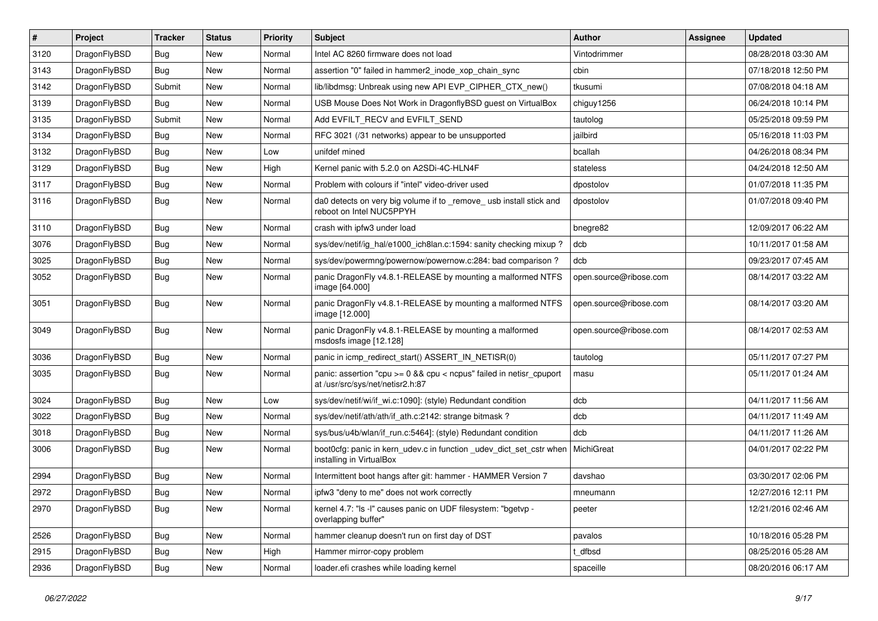| $\sharp$ | Project      | <b>Tracker</b> | <b>Status</b> | <b>Priority</b> | Subject                                                                                                   | Author                 | Assignee | <b>Updated</b>      |
|----------|--------------|----------------|---------------|-----------------|-----------------------------------------------------------------------------------------------------------|------------------------|----------|---------------------|
| 3120     | DragonFlyBSD | <b>Bug</b>     | New           | Normal          | Intel AC 8260 firmware does not load                                                                      | Vintodrimmer           |          | 08/28/2018 03:30 AM |
| 3143     | DragonFlyBSD | <b>Bug</b>     | New           | Normal          | assertion "0" failed in hammer2 inode xop chain sync                                                      | cbin                   |          | 07/18/2018 12:50 PM |
| 3142     | DragonFlyBSD | Submit         | New           | Normal          | lib/libdmsg: Unbreak using new API EVP_CIPHER_CTX_new()                                                   | tkusumi                |          | 07/08/2018 04:18 AM |
| 3139     | DragonFlyBSD | Bug            | New           | Normal          | USB Mouse Does Not Work in DragonflyBSD guest on VirtualBox                                               | chiguy1256             |          | 06/24/2018 10:14 PM |
| 3135     | DragonFlyBSD | Submit         | <b>New</b>    | Normal          | Add EVFILT_RECV and EVFILT_SEND                                                                           | tautolog               |          | 05/25/2018 09:59 PM |
| 3134     | DragonFlyBSD | <b>Bug</b>     | New           | Normal          | RFC 3021 (/31 networks) appear to be unsupported                                                          | jailbird               |          | 05/16/2018 11:03 PM |
| 3132     | DragonFlyBSD | <b>Bug</b>     | <b>New</b>    | Low             | unifdef mined                                                                                             | bcallah                |          | 04/26/2018 08:34 PM |
| 3129     | DragonFlyBSD | <b>Bug</b>     | New           | High            | Kernel panic with 5.2.0 on A2SDi-4C-HLN4F                                                                 | stateless              |          | 04/24/2018 12:50 AM |
| 3117     | DragonFlyBSD | <b>Bug</b>     | New           | Normal          | Problem with colours if "intel" video-driver used                                                         | dpostolov              |          | 01/07/2018 11:35 PM |
| 3116     | DragonFlyBSD | <b>Bug</b>     | New           | Normal          | da0 detects on very big volume if to _remove_ usb install stick and<br>reboot on Intel NUC5PPYH           | dpostolov              |          | 01/07/2018 09:40 PM |
| 3110     | DragonFlyBSD | <b>Bug</b>     | <b>New</b>    | Normal          | crash with ipfw3 under load                                                                               | bnegre82               |          | 12/09/2017 06:22 AM |
| 3076     | DragonFlyBSD | <b>Bug</b>     | <b>New</b>    | Normal          | sys/dev/netif/ig hal/e1000 ich8lan.c:1594: sanity checking mixup?                                         | dcb                    |          | 10/11/2017 01:58 AM |
| 3025     | DragonFlyBSD | <b>Bug</b>     | <b>New</b>    | Normal          | sys/dev/powermng/powernow/powernow.c:284: bad comparison?                                                 | dcb                    |          | 09/23/2017 07:45 AM |
| 3052     | DragonFlyBSD | <b>Bug</b>     | New           | Normal          | panic DragonFly v4.8.1-RELEASE by mounting a malformed NTFS<br>image [64.000]                             | open.source@ribose.com |          | 08/14/2017 03:22 AM |
| 3051     | DragonFlyBSD | Bug            | New           | Normal          | panic DragonFly v4.8.1-RELEASE by mounting a malformed NTFS<br>image [12.000]                             | open.source@ribose.com |          | 08/14/2017 03:20 AM |
| 3049     | DragonFlyBSD | <b>Bug</b>     | <b>New</b>    | Normal          | panic DragonFly v4.8.1-RELEASE by mounting a malformed<br>msdosfs image [12.128]                          | open.source@ribose.com |          | 08/14/2017 02:53 AM |
| 3036     | DragonFlyBSD | <b>Bug</b>     | <b>New</b>    | Normal          | panic in icmp_redirect_start() ASSERT_IN_NETISR(0)                                                        | tautolog               |          | 05/11/2017 07:27 PM |
| 3035     | DragonFlyBSD | <b>Bug</b>     | New           | Normal          | panic: assertion "cpu $>= 0$ && cpu < ncpus" failed in netisr cpuport<br>at /usr/src/sys/net/netisr2.h:87 | masu                   |          | 05/11/2017 01:24 AM |
| 3024     | DragonFlyBSD | <b>Bug</b>     | New           | Low             | sys/dev/netif/wi/if_wi.c:1090]: (style) Redundant condition                                               | dcb                    |          | 04/11/2017 11:56 AM |
| 3022     | DragonFlyBSD | <b>Bug</b>     | New           | Normal          | sys/dev/netif/ath/ath/if_ath.c:2142: strange bitmask?                                                     | dcb                    |          | 04/11/2017 11:49 AM |
| 3018     | DragonFlyBSD | <b>Bug</b>     | <b>New</b>    | Normal          | sys/bus/u4b/wlan/if_run.c:5464]: (style) Redundant condition                                              | dcb                    |          | 04/11/2017 11:26 AM |
| 3006     | DragonFlyBSD | <b>Bug</b>     | New           | Normal          | boot0cfg: panic in kern_udev.c in function _udev_dict_set_cstr when<br>installing in VirtualBox           | MichiGreat             |          | 04/01/2017 02:22 PM |
| 2994     | DragonFlyBSD | <b>Bug</b>     | <b>New</b>    | Normal          | Intermittent boot hangs after git: hammer - HAMMER Version 7                                              | davshao                |          | 03/30/2017 02:06 PM |
| 2972     | DragonFlyBSD | Bug            | <b>New</b>    | Normal          | ipfw3 "deny to me" does not work correctly                                                                | mneumann               |          | 12/27/2016 12:11 PM |
| 2970     | DragonFlyBSD | <b>Bug</b>     | New           | Normal          | kernel 4.7: "Is -I" causes panic on UDF filesystem: "bgetvp -<br>overlapping buffer"                      | peeter                 |          | 12/21/2016 02:46 AM |
| 2526     | DragonFlyBSD | <b>Bug</b>     | <b>New</b>    | Normal          | hammer cleanup doesn't run on first day of DST                                                            | pavalos                |          | 10/18/2016 05:28 PM |
| 2915     | DragonFlyBSD | <b>Bug</b>     | <b>New</b>    | High            | Hammer mirror-copy problem                                                                                | t_dfbsd                |          | 08/25/2016 05:28 AM |
| 2936     | DragonFlyBSD | <b>Bug</b>     | New           | Normal          | loader.efi crashes while loading kernel                                                                   | spaceille              |          | 08/20/2016 06:17 AM |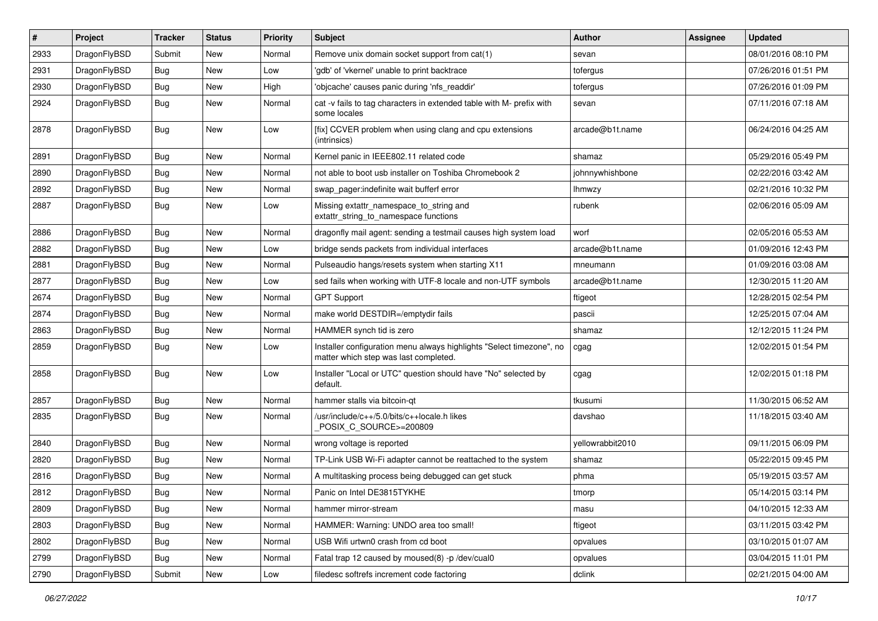| $\vert$ # | Project      | <b>Tracker</b> | <b>Status</b> | <b>Priority</b> | Subject                                                                                                       | <b>Author</b>    | <b>Assignee</b> | <b>Updated</b>      |
|-----------|--------------|----------------|---------------|-----------------|---------------------------------------------------------------------------------------------------------------|------------------|-----------------|---------------------|
| 2933      | DragonFlyBSD | Submit         | <b>New</b>    | Normal          | Remove unix domain socket support from cat(1)                                                                 | sevan            |                 | 08/01/2016 08:10 PM |
| 2931      | DragonFlyBSD | Bug            | <b>New</b>    | Low             | 'gdb' of 'vkernel' unable to print backtrace                                                                  | tofergus         |                 | 07/26/2016 01:51 PM |
| 2930      | DragonFlyBSD | <b>Bug</b>     | New           | High            | 'objcache' causes panic during 'nfs readdir'                                                                  | tofergus         |                 | 07/26/2016 01:09 PM |
| 2924      | DragonFlyBSD | Bug            | New           | Normal          | cat -v fails to tag characters in extended table with M- prefix with<br>some locales                          | sevan            |                 | 07/11/2016 07:18 AM |
| 2878      | DragonFlyBSD | <b>Bug</b>     | New           | Low             | [fix] CCVER problem when using clang and cpu extensions<br>(intrinsics)                                       | arcade@b1t.name  |                 | 06/24/2016 04:25 AM |
| 2891      | DragonFlyBSD | <b>Bug</b>     | <b>New</b>    | Normal          | Kernel panic in IEEE802.11 related code                                                                       | shamaz           |                 | 05/29/2016 05:49 PM |
| 2890      | DragonFlyBSD | Bug            | <b>New</b>    | Normal          | not able to boot usb installer on Toshiba Chromebook 2                                                        | johnnywhishbone  |                 | 02/22/2016 03:42 AM |
| 2892      | DragonFlyBSD | <b>Bug</b>     | <b>New</b>    | Normal          | swap_pager:indefinite wait bufferf error                                                                      | lhmwzy           |                 | 02/21/2016 10:32 PM |
| 2887      | DragonFlyBSD | <b>Bug</b>     | New           | Low             | Missing extattr_namespace_to_string and<br>extattr_string_to_namespace functions                              | rubenk           |                 | 02/06/2016 05:09 AM |
| 2886      | DragonFlyBSD | Bug            | <b>New</b>    | Normal          | dragonfly mail agent: sending a testmail causes high system load                                              | worf             |                 | 02/05/2016 05:53 AM |
| 2882      | DragonFlyBSD | Bug            | New           | Low             | bridge sends packets from individual interfaces                                                               | arcade@b1t.name  |                 | 01/09/2016 12:43 PM |
| 2881      | DragonFlyBSD | Bug            | <b>New</b>    | Normal          | Pulseaudio hangs/resets system when starting X11                                                              | mneumann         |                 | 01/09/2016 03:08 AM |
| 2877      | DragonFlyBSD | <b>Bug</b>     | New           | Low             | sed fails when working with UTF-8 locale and non-UTF symbols                                                  | arcade@b1t.name  |                 | 12/30/2015 11:20 AM |
| 2674      | DragonFlyBSD | Bug            | <b>New</b>    | Normal          | <b>GPT Support</b>                                                                                            | ftigeot          |                 | 12/28/2015 02:54 PM |
| 2874      | DragonFlyBSD | Bug            | <b>New</b>    | Normal          | make world DESTDIR=/emptydir fails                                                                            | pascii           |                 | 12/25/2015 07:04 AM |
| 2863      | DragonFlyBSD | <b>Bug</b>     | <b>New</b>    | Normal          | HAMMER synch tid is zero                                                                                      | shamaz           |                 | 12/12/2015 11:24 PM |
| 2859      | DragonFlyBSD | Bug            | New           | Low             | Installer configuration menu always highlights "Select timezone", no<br>matter which step was last completed. | cgag             |                 | 12/02/2015 01:54 PM |
| 2858      | DragonFlyBSD | Bug            | New           | Low             | Installer "Local or UTC" question should have "No" selected by<br>default.                                    | cgag             |                 | 12/02/2015 01:18 PM |
| 2857      | DragonFlyBSD | <b>Bug</b>     | <b>New</b>    | Normal          | hammer stalls via bitcoin-qt                                                                                  | tkusumi          |                 | 11/30/2015 06:52 AM |
| 2835      | DragonFlyBSD | Bug            | <b>New</b>    | Normal          | /usr/include/c++/5.0/bits/c++locale.h likes<br>POSIX_C_SOURCE>=200809                                         | davshao          |                 | 11/18/2015 03:40 AM |
| 2840      | DragonFlyBSD | <b>Bug</b>     | <b>New</b>    | Normal          | wrong voltage is reported                                                                                     | yellowrabbit2010 |                 | 09/11/2015 06:09 PM |
| 2820      | DragonFlyBSD | <b>Bug</b>     | <b>New</b>    | Normal          | TP-Link USB Wi-Fi adapter cannot be reattached to the system                                                  | shamaz           |                 | 05/22/2015 09:45 PM |
| 2816      | DragonFlyBSD | Bug            | <b>New</b>    | Normal          | A multitasking process being debugged can get stuck                                                           | phma             |                 | 05/19/2015 03:57 AM |
| 2812      | DragonFlyBSD | Bug            | New           | Normal          | Panic on Intel DE3815TYKHE                                                                                    | tmorp            |                 | 05/14/2015 03:14 PM |
| 2809      | DragonFlyBSD | Bug            | New           | Normal          | hammer mirror-stream                                                                                          | masu             |                 | 04/10/2015 12:33 AM |
| 2803      | DragonFlyBSD | Bug            | New           | Normal          | HAMMER: Warning: UNDO area too small!                                                                         | ftigeot          |                 | 03/11/2015 03:42 PM |
| 2802      | DragonFlyBSD | <b>Bug</b>     | New           | Normal          | USB Wifi urtwn0 crash from cd boot                                                                            | opvalues         |                 | 03/10/2015 01:07 AM |
| 2799      | DragonFlyBSD | <b>Bug</b>     | New           | Normal          | Fatal trap 12 caused by moused(8) -p /dev/cual0                                                               | opvalues         |                 | 03/04/2015 11:01 PM |
| 2790      | DragonFlyBSD | Submit         | New           | Low             | filedesc softrefs increment code factoring                                                                    | dclink           |                 | 02/21/2015 04:00 AM |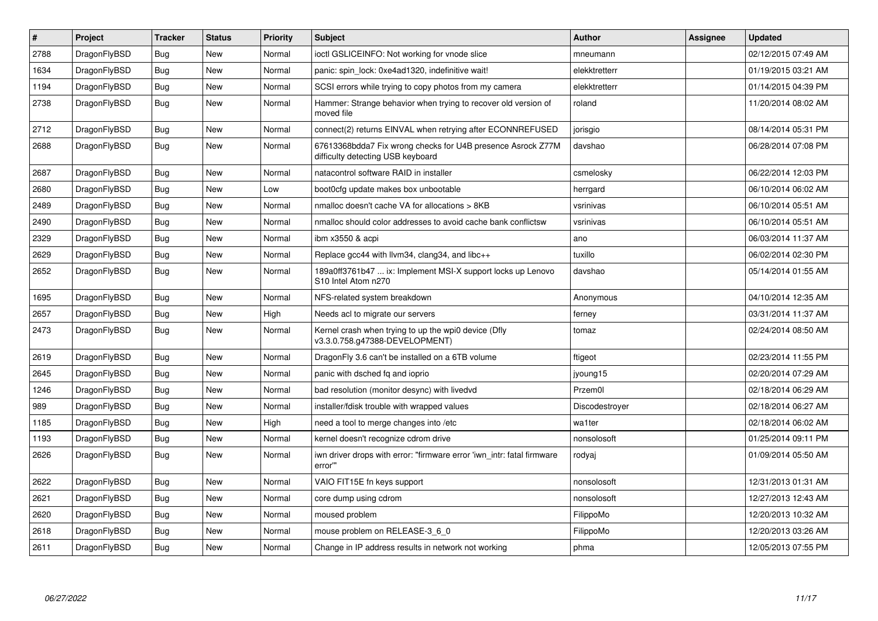| $\vert$ # | Project      | <b>Tracker</b> | <b>Status</b> | <b>Priority</b> | <b>Subject</b>                                                                                   | <b>Author</b>  | Assignee | <b>Updated</b>      |
|-----------|--------------|----------------|---------------|-----------------|--------------------------------------------------------------------------------------------------|----------------|----------|---------------------|
| 2788      | DragonFlyBSD | Bug            | <b>New</b>    | Normal          | ioctl GSLICEINFO: Not working for vnode slice                                                    | mneumann       |          | 02/12/2015 07:49 AM |
| 1634      | DragonFlyBSD | Bug            | <b>New</b>    | Normal          | panic: spin lock: 0xe4ad1320, indefinitive wait!                                                 | elekktretterr  |          | 01/19/2015 03:21 AM |
| 1194      | DragonFlyBSD | Bug            | <b>New</b>    | Normal          | SCSI errors while trying to copy photos from my camera                                           | elekktretterr  |          | 01/14/2015 04:39 PM |
| 2738      | DragonFlyBSD | <b>Bug</b>     | <b>New</b>    | Normal          | Hammer: Strange behavior when trying to recover old version of<br>moved file                     | roland         |          | 11/20/2014 08:02 AM |
| 2712      | DragonFlyBSD | Bug            | <b>New</b>    | Normal          | connect(2) returns EINVAL when retrying after ECONNREFUSED                                       | jorisgio       |          | 08/14/2014 05:31 PM |
| 2688      | DragonFlyBSD | Bug            | <b>New</b>    | Normal          | 67613368bdda7 Fix wrong checks for U4B presence Asrock Z77M<br>difficulty detecting USB keyboard | davshao        |          | 06/28/2014 07:08 PM |
| 2687      | DragonFlyBSD | Bug            | <b>New</b>    | Normal          | natacontrol software RAID in installer                                                           | csmelosky      |          | 06/22/2014 12:03 PM |
| 2680      | DragonFlyBSD | Bug            | New           | Low             | boot0cfg update makes box unbootable                                                             | herrgard       |          | 06/10/2014 06:02 AM |
| 2489      | DragonFlyBSD | Bug            | <b>New</b>    | Normal          | nmalloc doesn't cache VA for allocations > 8KB                                                   | vsrinivas      |          | 06/10/2014 05:51 AM |
| 2490      | DragonFlyBSD | <b>Bug</b>     | <b>New</b>    | Normal          | nmalloc should color addresses to avoid cache bank conflictsw                                    | vsrinivas      |          | 06/10/2014 05:51 AM |
| 2329      | DragonFlyBSD | Bug            | <b>New</b>    | Normal          | ibm x3550 & acpi                                                                                 | ano            |          | 06/03/2014 11:37 AM |
| 2629      | DragonFlyBSD | Bug            | <b>New</b>    | Normal          | Replace gcc44 with llvm34, clang34, and libc++                                                   | tuxillo        |          | 06/02/2014 02:30 PM |
| 2652      | DragonFlyBSD | Bug            | <b>New</b>    | Normal          | 189a0ff3761b47  ix: Implement MSI-X support locks up Lenovo<br>S10 Intel Atom n270               | davshao        |          | 05/14/2014 01:55 AM |
| 1695      | DragonFlyBSD | Bug            | <b>New</b>    | Normal          | NFS-related system breakdown                                                                     | Anonymous      |          | 04/10/2014 12:35 AM |
| 2657      | DragonFlyBSD | Bug            | <b>New</b>    | High            | Needs acl to migrate our servers                                                                 | ferney         |          | 03/31/2014 11:37 AM |
| 2473      | DragonFlyBSD | Bug            | New           | Normal          | Kernel crash when trying to up the wpi0 device (Dfly<br>v3.3.0.758.g47388-DEVELOPMENT)           | tomaz          |          | 02/24/2014 08:50 AM |
| 2619      | DragonFlyBSD | <b>Bug</b>     | <b>New</b>    | Normal          | DragonFly 3.6 can't be installed on a 6TB volume                                                 | ftigeot        |          | 02/23/2014 11:55 PM |
| 2645      | DragonFlyBSD | <b>Bug</b>     | New           | Normal          | panic with dsched fq and ioprio                                                                  | jyoung15       |          | 02/20/2014 07:29 AM |
| 1246      | DragonFlyBSD | Bug            | New           | Normal          | bad resolution (monitor desync) with livedvd                                                     | Przem0l        |          | 02/18/2014 06:29 AM |
| 989       | DragonFlyBSD | Bug            | <b>New</b>    | Normal          | installer/fdisk trouble with wrapped values                                                      | Discodestroyer |          | 02/18/2014 06:27 AM |
| 1185      | DragonFlyBSD | <b>Bug</b>     | <b>New</b>    | High            | need a tool to merge changes into /etc                                                           | wa1ter         |          | 02/18/2014 06:02 AM |
| 1193      | DragonFlyBSD | <b>Bug</b>     | <b>New</b>    | Normal          | kernel doesn't recognize cdrom drive                                                             | nonsolosoft    |          | 01/25/2014 09:11 PM |
| 2626      | DragonFlyBSD | <b>Bug</b>     | <b>New</b>    | Normal          | iwn driver drops with error: "firmware error 'iwn_intr: fatal firmware<br>error"                 | rodyaj         |          | 01/09/2014 05:50 AM |
| 2622      | DragonFlyBSD | Bug            | New           | Normal          | VAIO FIT15E fn keys support                                                                      | nonsolosoft    |          | 12/31/2013 01:31 AM |
| 2621      | DragonFlyBSD | <b>Bug</b>     | <b>New</b>    | Normal          | core dump using cdrom                                                                            | nonsolosoft    |          | 12/27/2013 12:43 AM |
| 2620      | DragonFlyBSD | Bug            | <b>New</b>    | Normal          | moused problem                                                                                   | FilippoMo      |          | 12/20/2013 10:32 AM |
| 2618      | DragonFlyBSD | Bug            | <b>New</b>    | Normal          | mouse problem on RELEASE-3 6 0                                                                   | FilippoMo      |          | 12/20/2013 03:26 AM |
| 2611      | DragonFlyBSD | Bug            | New           | Normal          | Change in IP address results in network not working                                              | phma           |          | 12/05/2013 07:55 PM |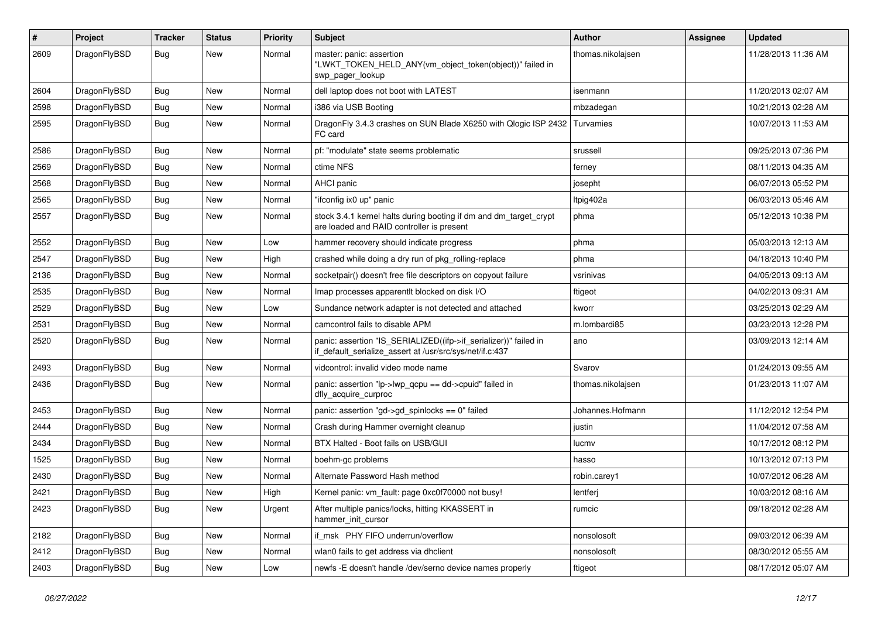| $\pmb{\#}$ | Project      | <b>Tracker</b> | <b>Status</b> | <b>Priority</b> | Subject                                                                                                                      | <b>Author</b>     | <b>Assignee</b> | <b>Updated</b>      |
|------------|--------------|----------------|---------------|-----------------|------------------------------------------------------------------------------------------------------------------------------|-------------------|-----------------|---------------------|
| 2609       | DragonFlyBSD | Bug            | New           | Normal          | master: panic: assertion<br>"LWKT TOKEN HELD ANY(vm object token(object))" failed in<br>swp_pager_lookup                     | thomas.nikolajsen |                 | 11/28/2013 11:36 AM |
| 2604       | DragonFlyBSD | Bug            | <b>New</b>    | Normal          | dell laptop does not boot with LATEST                                                                                        | isenmann          |                 | 11/20/2013 02:07 AM |
| 2598       | DragonFlyBSD | <b>Bug</b>     | <b>New</b>    | Normal          | i386 via USB Booting                                                                                                         | mbzadegan         |                 | 10/21/2013 02:28 AM |
| 2595       | DragonFlyBSD | Bug            | New           | Normal          | Dragon Fly 3.4.3 crashes on SUN Blade X6250 with Qlogic ISP 2432<br>FC card                                                  | Turvamies         |                 | 10/07/2013 11:53 AM |
| 2586       | DragonFlyBSD | <b>Bug</b>     | <b>New</b>    | Normal          | pf: "modulate" state seems problematic                                                                                       | srussell          |                 | 09/25/2013 07:36 PM |
| 2569       | DragonFlyBSD | Bug            | <b>New</b>    | Normal          | ctime NFS                                                                                                                    | ferney            |                 | 08/11/2013 04:35 AM |
| 2568       | DragonFlyBSD | Bug            | <b>New</b>    | Normal          | <b>AHCI</b> panic                                                                                                            | josepht           |                 | 06/07/2013 05:52 PM |
| 2565       | DragonFlyBSD | Bug            | New           | Normal          | "ifconfig ix0 up" panic                                                                                                      | Itpig402a         |                 | 06/03/2013 05:46 AM |
| 2557       | DragonFlyBSD | Bug            | New           | Normal          | stock 3.4.1 kernel halts during booting if dm and dm_target_crypt<br>are loaded and RAID controller is present               | phma              |                 | 05/12/2013 10:38 PM |
| 2552       | DragonFlyBSD | Bug            | <b>New</b>    | Low             | hammer recovery should indicate progress                                                                                     | phma              |                 | 05/03/2013 12:13 AM |
| 2547       | DragonFlyBSD | Bug            | <b>New</b>    | High            | crashed while doing a dry run of pkg_rolling-replace                                                                         | phma              |                 | 04/18/2013 10:40 PM |
| 2136       | DragonFlyBSD | Bug            | New           | Normal          | socketpair() doesn't free file descriptors on copyout failure                                                                | vsrinivas         |                 | 04/05/2013 09:13 AM |
| 2535       | DragonFlyBSD | Bug            | New           | Normal          | Imap processes apparentlt blocked on disk I/O                                                                                | ftigeot           |                 | 04/02/2013 09:31 AM |
| 2529       | DragonFlyBSD | Bug            | <b>New</b>    | Low             | Sundance network adapter is not detected and attached                                                                        | kworr             |                 | 03/25/2013 02:29 AM |
| 2531       | DragonFlyBSD | Bug            | New           | Normal          | camcontrol fails to disable APM                                                                                              | m.lombardi85      |                 | 03/23/2013 12:28 PM |
| 2520       | DragonFlyBSD | Bug            | New           | Normal          | panic: assertion "IS_SERIALIZED((ifp->if_serializer))" failed in<br>if_default_serialize_assert at /usr/src/sys/net/if.c:437 | ano               |                 | 03/09/2013 12:14 AM |
| 2493       | DragonFlyBSD | Bug            | <b>New</b>    | Normal          | vidcontrol: invalid video mode name                                                                                          | Svarov            |                 | 01/24/2013 09:55 AM |
| 2436       | DragonFlyBSD | <b>Bug</b>     | New           | Normal          | panic: assertion "lp->lwp_qcpu == dd->cpuid" failed in<br>dfly_acquire_curproc                                               | thomas.nikolajsen |                 | 01/23/2013 11:07 AM |
| 2453       | DragonFlyBSD | Bug            | <b>New</b>    | Normal          | panic: assertion "gd->gd_spinlocks == 0" failed                                                                              | Johannes.Hofmann  |                 | 11/12/2012 12:54 PM |
| 2444       | DragonFlyBSD | Bug            | <b>New</b>    | Normal          | Crash during Hammer overnight cleanup                                                                                        | justin            |                 | 11/04/2012 07:58 AM |
| 2434       | DragonFlyBSD | Bug            | New           | Normal          | BTX Halted - Boot fails on USB/GUI                                                                                           | lucmv             |                 | 10/17/2012 08:12 PM |
| 1525       | DragonFlyBSD | Bug            | <b>New</b>    | Normal          | boehm-gc problems                                                                                                            | hasso             |                 | 10/13/2012 07:13 PM |
| 2430       | DragonFlyBSD | Bug            | New           | Normal          | Alternate Password Hash method                                                                                               | robin.carey1      |                 | 10/07/2012 06:28 AM |
| 2421       | DragonFlyBSD | Bug            | New           | High            | Kernel panic: vm_fault: page 0xc0f70000 not busy!                                                                            | lentferj          |                 | 10/03/2012 08:16 AM |
| 2423       | DragonFlyBSD | Bug            | New           | Urgent          | After multiple panics/locks, hitting KKASSERT in<br>hammer init cursor                                                       | rumcic            |                 | 09/18/2012 02:28 AM |
| 2182       | DragonFlyBSD | Bug            | New           | Normal          | if_msk PHY FIFO underrun/overflow                                                                                            | nonsolosoft       |                 | 09/03/2012 06:39 AM |
| 2412       | DragonFlyBSD | Bug            | New           | Normal          | wlan0 fails to get address via dhclient                                                                                      | nonsolosoft       |                 | 08/30/2012 05:55 AM |
| 2403       | DragonFlyBSD | <b>Bug</b>     | New           | Low             | newfs -E doesn't handle /dev/serno device names properly                                                                     | ftigeot           |                 | 08/17/2012 05:07 AM |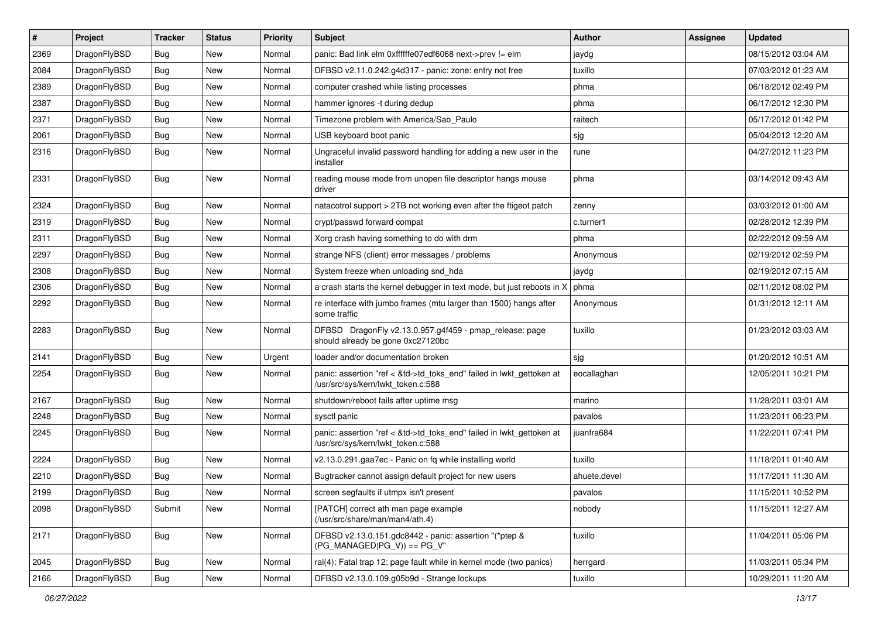| #    | Project      | <b>Tracker</b> | <b>Status</b> | <b>Priority</b> | <b>Subject</b>                                                                                             | Author       | Assignee | <b>Updated</b>      |
|------|--------------|----------------|---------------|-----------------|------------------------------------------------------------------------------------------------------------|--------------|----------|---------------------|
| 2369 | DragonFlyBSD | <b>Bug</b>     | New           | Normal          | panic: Bad link elm 0xffffffe07edf6068 next->prev != elm                                                   | jaydg        |          | 08/15/2012 03:04 AM |
| 2084 | DragonFlyBSD | <b>Bug</b>     | <b>New</b>    | Normal          | DFBSD v2.11.0.242.g4d317 - panic: zone: entry not free                                                     | tuxillo      |          | 07/03/2012 01:23 AM |
| 2389 | DragonFlyBSD | <b>Bug</b>     | <b>New</b>    | Normal          | computer crashed while listing processes                                                                   | phma         |          | 06/18/2012 02:49 PM |
| 2387 | DragonFlyBSD | <b>Bug</b>     | New           | Normal          | hammer ignores -t during dedup                                                                             | phma         |          | 06/17/2012 12:30 PM |
| 2371 | DragonFlyBSD | <b>Bug</b>     | <b>New</b>    | Normal          | Timezone problem with America/Sao_Paulo                                                                    | raitech      |          | 05/17/2012 01:42 PM |
| 2061 | DragonFlyBSD | Bug            | New           | Normal          | USB keyboard boot panic                                                                                    | sjg          |          | 05/04/2012 12:20 AM |
| 2316 | DragonFlyBSD | <b>Bug</b>     | <b>New</b>    | Normal          | Ungraceful invalid password handling for adding a new user in the<br>installer                             | rune         |          | 04/27/2012 11:23 PM |
| 2331 | DragonFlyBSD | <b>Bug</b>     | <b>New</b>    | Normal          | reading mouse mode from unopen file descriptor hangs mouse<br>driver                                       | phma         |          | 03/14/2012 09:43 AM |
| 2324 | DragonFlyBSD | <b>Bug</b>     | <b>New</b>    | Normal          | natacotrol support > 2TB not working even after the ftigeot patch                                          | zenny        |          | 03/03/2012 01:00 AM |
| 2319 | DragonFlyBSD | <b>Bug</b>     | New           | Normal          | crypt/passwd forward compat                                                                                | c.turner1    |          | 02/28/2012 12:39 PM |
| 2311 | DragonFlyBSD | <b>Bug</b>     | New           | Normal          | Xorg crash having something to do with drm                                                                 | phma         |          | 02/22/2012 09:59 AM |
| 2297 | DragonFlyBSD | <b>Bug</b>     | New           | Normal          | strange NFS (client) error messages / problems                                                             | Anonymous    |          | 02/19/2012 02:59 PM |
| 2308 | DragonFlyBSD | <b>Bug</b>     | <b>New</b>    | Normal          | System freeze when unloading snd_hda                                                                       | jaydg        |          | 02/19/2012 07:15 AM |
| 2306 | DragonFlyBSD | <b>Bug</b>     | New           | Normal          | a crash starts the kernel debugger in text mode, but just reboots in X                                     | phma         |          | 02/11/2012 08:02 PM |
| 2292 | DragonFlyBSD | <b>Bug</b>     | New           | Normal          | re interface with jumbo frames (mtu larger than 1500) hangs after<br>some traffic                          | Anonymous    |          | 01/31/2012 12:11 AM |
| 2283 | DragonFlyBSD | Bug            | <b>New</b>    | Normal          | DFBSD DragonFly v2.13.0.957.g4f459 - pmap_release: page<br>should already be gone 0xc27120bc               | tuxillo      |          | 01/23/2012 03:03 AM |
| 2141 | DragonFlyBSD | <b>Bug</b>     | <b>New</b>    | Urgent          | loader and/or documentation broken                                                                         | sjg          |          | 01/20/2012 10:51 AM |
| 2254 | DragonFlyBSD | <b>Bug</b>     | New           | Normal          | panic: assertion "ref < &td->td_toks_end" failed in lwkt_gettoken at<br>/usr/src/sys/kern/lwkt_token.c:588 | eocallaghan  |          | 12/05/2011 10:21 PM |
| 2167 | DragonFlyBSD | <b>Bug</b>     | New           | Normal          | shutdown/reboot fails after uptime msg                                                                     | marino       |          | 11/28/2011 03:01 AM |
| 2248 | DragonFlyBSD | <b>Bug</b>     | <b>New</b>    | Normal          | sysctl panic                                                                                               | pavalos      |          | 11/23/2011 06:23 PM |
| 2245 | DragonFlyBSD | <b>Bug</b>     | New           | Normal          | panic: assertion "ref < &td->td_toks_end" failed in lwkt_gettoken at<br>/usr/src/sys/kern/lwkt_token.c:588 | juanfra684   |          | 11/22/2011 07:41 PM |
| 2224 | DragonFlyBSD | <b>Bug</b>     | <b>New</b>    | Normal          | v2.13.0.291.gaa7ec - Panic on fq while installing world                                                    | tuxillo      |          | 11/18/2011 01:40 AM |
| 2210 | DragonFlyBSD | <b>Bug</b>     | <b>New</b>    | Normal          | Bugtracker cannot assign default project for new users                                                     | ahuete.devel |          | 11/17/2011 11:30 AM |
| 2199 | DragonFlyBSD | <b>Bug</b>     | <b>New</b>    | Normal          | screen segfaults if utmpx isn't present                                                                    | pavalos      |          | 11/15/2011 10:52 PM |
| 2098 | DragonFlyBSD | Submit         | New           | Normal          | [PATCH] correct ath man page example<br>(/usr/src/share/man/man4/ath.4)                                    | nobody       |          | 11/15/2011 12:27 AM |
| 2171 | DragonFlyBSD | <b>Bug</b>     | New           | Normal          | DFBSD v2.13.0.151.gdc8442 - panic: assertion "(*ptep &<br>$(PG MANAGED PG V)) == PG V"$                    | tuxillo      |          | 11/04/2011 05:06 PM |
| 2045 | DragonFlyBSD | Bug            | New           | Normal          | ral(4): Fatal trap 12: page fault while in kernel mode (two panics)                                        | herrgard     |          | 11/03/2011 05:34 PM |
| 2166 | DragonFlyBSD | <b>Bug</b>     | New           | Normal          | DFBSD v2.13.0.109.g05b9d - Strange lockups                                                                 | tuxillo      |          | 10/29/2011 11:20 AM |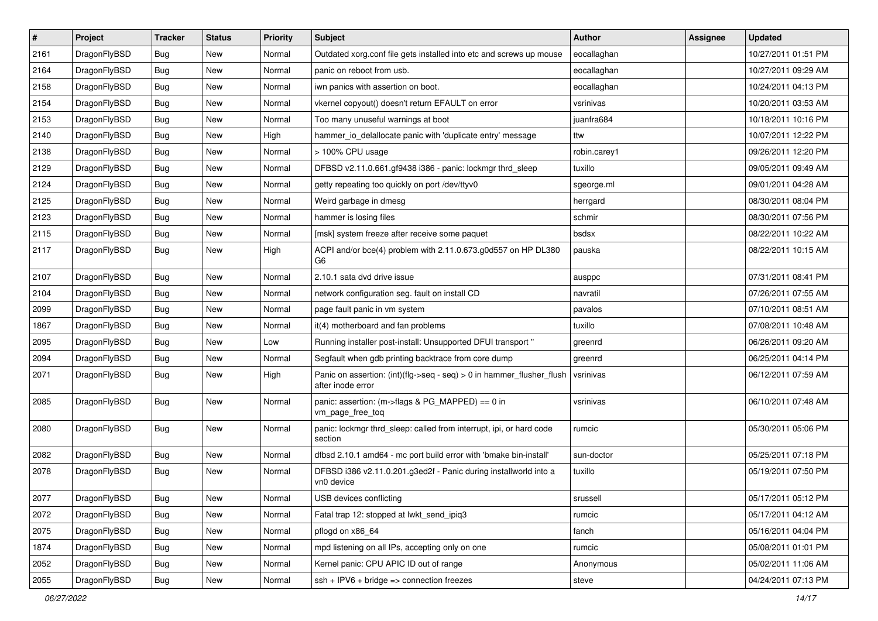| $\vert$ # | Project      | <b>Tracker</b> | <b>Status</b> | <b>Priority</b> | Subject                                                                                    | <b>Author</b> | Assignee | <b>Updated</b>      |
|-----------|--------------|----------------|---------------|-----------------|--------------------------------------------------------------------------------------------|---------------|----------|---------------------|
| 2161      | DragonFlyBSD | <b>Bug</b>     | New           | Normal          | Outdated xorg.conf file gets installed into etc and screws up mouse                        | eocallaghan   |          | 10/27/2011 01:51 PM |
| 2164      | DragonFlyBSD | <b>Bug</b>     | <b>New</b>    | Normal          | panic on reboot from usb.                                                                  | eocallaghan   |          | 10/27/2011 09:29 AM |
| 2158      | DragonFlyBSD | <b>Bug</b>     | <b>New</b>    | Normal          | iwn panics with assertion on boot.                                                         | eocallaghan   |          | 10/24/2011 04:13 PM |
| 2154      | DragonFlyBSD | <b>Bug</b>     | New           | Normal          | vkernel copyout() doesn't return EFAULT on error                                           | vsrinivas     |          | 10/20/2011 03:53 AM |
| 2153      | DragonFlyBSD | <b>Bug</b>     | <b>New</b>    | Normal          | Too many unuseful warnings at boot                                                         | juanfra684    |          | 10/18/2011 10:16 PM |
| 2140      | DragonFlyBSD | Bug            | New           | High            | hammer io delallocate panic with 'duplicate entry' message                                 | ttw           |          | 10/07/2011 12:22 PM |
| 2138      | DragonFlyBSD | Bug            | <b>New</b>    | Normal          | > 100% CPU usage                                                                           | robin.carey1  |          | 09/26/2011 12:20 PM |
| 2129      | DragonFlyBSD | Bug            | New           | Normal          | DFBSD v2.11.0.661.gf9438 i386 - panic: lockmgr thrd sleep                                  | tuxillo       |          | 09/05/2011 09:49 AM |
| 2124      | DragonFlyBSD | Bug            | <b>New</b>    | Normal          | getty repeating too quickly on port /dev/ttyv0                                             | sgeorge.ml    |          | 09/01/2011 04:28 AM |
| 2125      | DragonFlyBSD | Bug            | New           | Normal          | Weird garbage in dmesg                                                                     | herrgard      |          | 08/30/2011 08:04 PM |
| 2123      | DragonFlyBSD | Bug            | <b>New</b>    | Normal          | hammer is losing files                                                                     | schmir        |          | 08/30/2011 07:56 PM |
| 2115      | DragonFlyBSD | Bug            | New           | Normal          | [msk] system freeze after receive some paquet                                              | bsdsx         |          | 08/22/2011 10:22 AM |
| 2117      | DragonFlyBSD | Bug            | New           | High            | ACPI and/or bce(4) problem with 2.11.0.673.g0d557 on HP DL380<br>G6                        | pauska        |          | 08/22/2011 10:15 AM |
| 2107      | DragonFlyBSD | Bug            | New           | Normal          | 2.10.1 sata dvd drive issue                                                                | ausppc        |          | 07/31/2011 08:41 PM |
| 2104      | DragonFlyBSD | Bug            | New           | Normal          | network configuration seg. fault on install CD                                             | navratil      |          | 07/26/2011 07:55 AM |
| 2099      | DragonFlyBSD | Bug            | New           | Normal          | page fault panic in vm system                                                              | pavalos       |          | 07/10/2011 08:51 AM |
| 1867      | DragonFlyBSD | Bug            | New           | Normal          | it(4) motherboard and fan problems                                                         | tuxillo       |          | 07/08/2011 10:48 AM |
| 2095      | DragonFlyBSD | Bug            | New           | Low             | Running installer post-install: Unsupported DFUI transport "                               | greenrd       |          | 06/26/2011 09:20 AM |
| 2094      | DragonFlyBSD | Bug            | <b>New</b>    | Normal          | Segfault when gdb printing backtrace from core dump                                        | greenrd       |          | 06/25/2011 04:14 PM |
| 2071      | DragonFlyBSD | Bug            | New           | High            | Panic on assertion: (int)(flg->seq - seq) > 0 in hammer_flusher_flush<br>after inode error | vsrinivas     |          | 06/12/2011 07:59 AM |
| 2085      | DragonFlyBSD | Bug            | New           | Normal          | panic: assertion: (m->flags & PG_MAPPED) == 0 in<br>vm_page_free_toq                       | vsrinivas     |          | 06/10/2011 07:48 AM |
| 2080      | DragonFlyBSD | Bug            | <b>New</b>    | Normal          | panic: lockmgr thrd_sleep: called from interrupt, ipi, or hard code<br>section             | rumcic        |          | 05/30/2011 05:06 PM |
| 2082      | DragonFlyBSD | Bug            | <b>New</b>    | Normal          | dfbsd 2.10.1 amd64 - mc port build error with 'bmake bin-install'                          | sun-doctor    |          | 05/25/2011 07:18 PM |
| 2078      | DragonFlyBSD | Bug            | New           | Normal          | DFBSD i386 v2.11.0.201.g3ed2f - Panic during installworld into a<br>vn0 device             | tuxillo       |          | 05/19/2011 07:50 PM |
| 2077      | DragonFlyBSD | <b>Bug</b>     | <b>New</b>    | Normal          | USB devices conflicting                                                                    | srussell      |          | 05/17/2011 05:12 PM |
| 2072      | DragonFlyBSD | Bug            | New           | Normal          | Fatal trap 12: stopped at lwkt_send_ipiq3                                                  | rumcic        |          | 05/17/2011 04:12 AM |
| 2075      | DragonFlyBSD | <b>Bug</b>     | New           | Normal          | pflogd on x86 64                                                                           | fanch         |          | 05/16/2011 04:04 PM |
| 1874      | DragonFlyBSD | Bug            | <b>New</b>    | Normal          | mpd listening on all IPs, accepting only on one                                            | rumcic        |          | 05/08/2011 01:01 PM |
| 2052      | DragonFlyBSD | <b>Bug</b>     | New           | Normal          | Kernel panic: CPU APIC ID out of range                                                     | Anonymous     |          | 05/02/2011 11:06 AM |
| 2055      | DragonFlyBSD | <b>Bug</b>     | New           | Normal          | $ssh + IPV6 + bridge \Rightarrow$ connection freezes                                       | steve         |          | 04/24/2011 07:13 PM |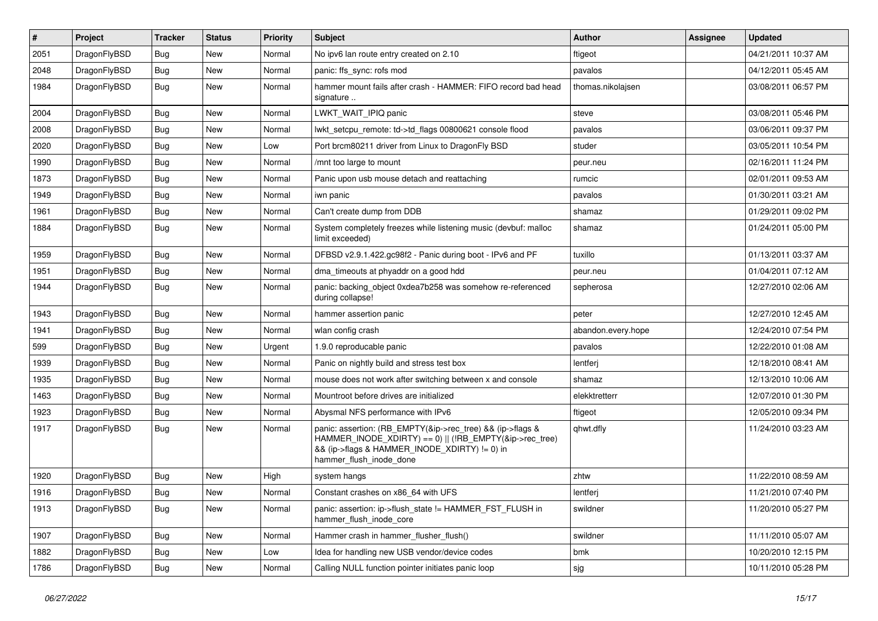| $\sharp$ | Project      | <b>Tracker</b> | <b>Status</b> | <b>Priority</b> | Subject                                                                                                                                                                                           | Author             | Assignee | <b>Updated</b>      |
|----------|--------------|----------------|---------------|-----------------|---------------------------------------------------------------------------------------------------------------------------------------------------------------------------------------------------|--------------------|----------|---------------------|
| 2051     | DragonFlyBSD | Bug            | New           | Normal          | No ipv6 lan route entry created on 2.10                                                                                                                                                           | ftigeot            |          | 04/21/2011 10:37 AM |
| 2048     | DragonFlyBSD | Bug            | New           | Normal          | panic: ffs sync: rofs mod                                                                                                                                                                         | pavalos            |          | 04/12/2011 05:45 AM |
| 1984     | DragonFlyBSD | Bug            | New           | Normal          | hammer mount fails after crash - HAMMER: FIFO record bad head<br>signature                                                                                                                        | thomas.nikolajsen  |          | 03/08/2011 06:57 PM |
| 2004     | DragonFlyBSD | Bug            | <b>New</b>    | Normal          | LWKT_WAIT_IPIQ panic                                                                                                                                                                              | steve              |          | 03/08/2011 05:46 PM |
| 2008     | DragonFlyBSD | Bug            | New           | Normal          | lwkt setcpu remote: td->td flags 00800621 console flood                                                                                                                                           | pavalos            |          | 03/06/2011 09:37 PM |
| 2020     | DragonFlyBSD | Bug            | New           | Low             | Port brcm80211 driver from Linux to DragonFly BSD                                                                                                                                                 | studer             |          | 03/05/2011 10:54 PM |
| 1990     | DragonFlyBSD | Bug            | New           | Normal          | /mnt too large to mount                                                                                                                                                                           | peur.neu           |          | 02/16/2011 11:24 PM |
| 1873     | DragonFlyBSD | Bug            | New           | Normal          | Panic upon usb mouse detach and reattaching                                                                                                                                                       | rumcic             |          | 02/01/2011 09:53 AM |
| 1949     | DragonFlyBSD | Bug            | <b>New</b>    | Normal          | iwn panic                                                                                                                                                                                         | pavalos            |          | 01/30/2011 03:21 AM |
| 1961     | DragonFlyBSD | Bug            | New           | Normal          | Can't create dump from DDB                                                                                                                                                                        | shamaz             |          | 01/29/2011 09:02 PM |
| 1884     | DragonFlyBSD | Bug            | New           | Normal          | System completely freezes while listening music (devbuf: malloc<br>limit exceeded)                                                                                                                | shamaz             |          | 01/24/2011 05:00 PM |
| 1959     | DragonFlyBSD | Bug            | New           | Normal          | DFBSD v2.9.1.422.gc98f2 - Panic during boot - IPv6 and PF                                                                                                                                         | tuxillo            |          | 01/13/2011 03:37 AM |
| 1951     | DragonFlyBSD | Bug            | New           | Normal          | dma_timeouts at phyaddr on a good hdd                                                                                                                                                             | peur.neu           |          | 01/04/2011 07:12 AM |
| 1944     | DragonFlyBSD | Bug            | New           | Normal          | panic: backing object 0xdea7b258 was somehow re-referenced<br>during collapse!                                                                                                                    | sepherosa          |          | 12/27/2010 02:06 AM |
| 1943     | DragonFlyBSD | Bug            | <b>New</b>    | Normal          | hammer assertion panic                                                                                                                                                                            | peter              |          | 12/27/2010 12:45 AM |
| 1941     | DragonFlyBSD | Bug            | <b>New</b>    | Normal          | wlan config crash                                                                                                                                                                                 | abandon.every.hope |          | 12/24/2010 07:54 PM |
| 599      | DragonFlyBSD | Bug            | New           | Urgent          | 1.9.0 reproducable panic                                                                                                                                                                          | pavalos            |          | 12/22/2010 01:08 AM |
| 1939     | DragonFlyBSD | Bug            | New           | Normal          | Panic on nightly build and stress test box                                                                                                                                                        | lentferj           |          | 12/18/2010 08:41 AM |
| 1935     | DragonFlyBSD | Bug            | New           | Normal          | mouse does not work after switching between x and console                                                                                                                                         | shamaz             |          | 12/13/2010 10:06 AM |
| 1463     | DragonFlyBSD | Bug            | <b>New</b>    | Normal          | Mountroot before drives are initialized                                                                                                                                                           | elekktretterr      |          | 12/07/2010 01:30 PM |
| 1923     | DragonFlyBSD | Bug            | <b>New</b>    | Normal          | Abysmal NFS performance with IPv6                                                                                                                                                                 | ftigeot            |          | 12/05/2010 09:34 PM |
| 1917     | DragonFlyBSD | Bug            | New           | Normal          | panic: assertion: (RB_EMPTY(&ip->rec_tree) && (ip->flags &<br>HAMMER_INODE_XDIRTY) == 0)    (!RB_EMPTY(&ip->rec_tree)<br>&& (ip->flags & HAMMER_INODE_XDIRTY) != 0) in<br>hammer_flush_inode_done | qhwt.dfly          |          | 11/24/2010 03:23 AM |
| 1920     | DragonFlyBSD | Bug            | New           | High            | system hangs                                                                                                                                                                                      | zhtw               |          | 11/22/2010 08:59 AM |
| 1916     | DragonFlyBSD | Bug            | <b>New</b>    | Normal          | Constant crashes on x86 64 with UFS                                                                                                                                                               | lentferj           |          | 11/21/2010 07:40 PM |
| 1913     | DragonFlyBSD | <b>Bug</b>     | New           | Normal          | panic: assertion: ip->flush_state != HAMMER_FST_FLUSH in<br>hammer_flush_inode_core                                                                                                               | swildner           |          | 11/20/2010 05:27 PM |
| 1907     | DragonFlyBSD | <b>Bug</b>     | New           | Normal          | Hammer crash in hammer_flusher_flush()                                                                                                                                                            | swildner           |          | 11/11/2010 05:07 AM |
| 1882     | DragonFlyBSD | <b>Bug</b>     | <b>New</b>    | Low             | Idea for handling new USB vendor/device codes                                                                                                                                                     | bmk                |          | 10/20/2010 12:15 PM |
| 1786     | DragonFlyBSD | <b>Bug</b>     | New           | Normal          | Calling NULL function pointer initiates panic loop                                                                                                                                                | sjg                |          | 10/11/2010 05:28 PM |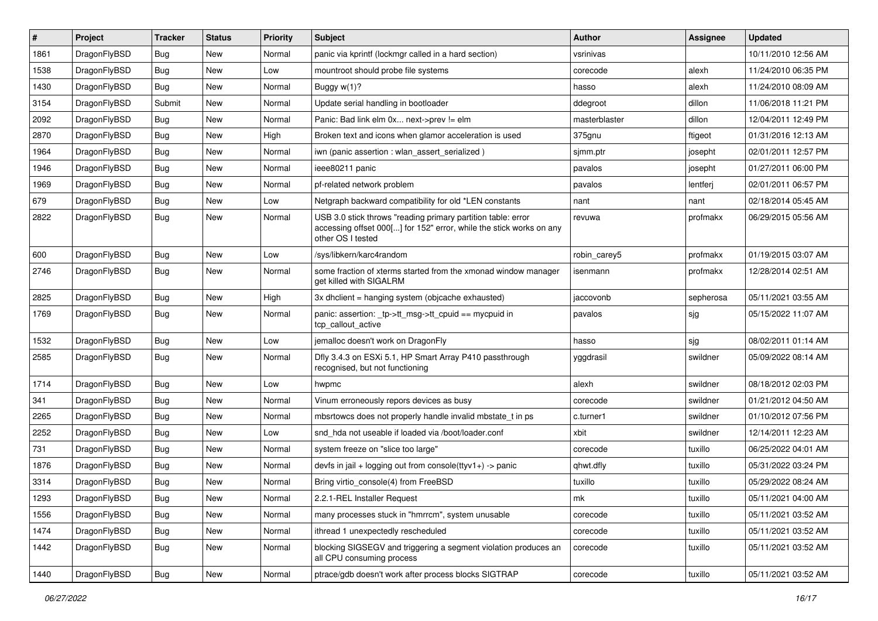| #    | Project      | <b>Tracker</b> | <b>Status</b> | <b>Priority</b> | Subject                                                                                                                                                  | <b>Author</b> | Assignee  | <b>Updated</b>      |
|------|--------------|----------------|---------------|-----------------|----------------------------------------------------------------------------------------------------------------------------------------------------------|---------------|-----------|---------------------|
| 1861 | DragonFlyBSD | Bug            | New           | Normal          | panic via kprintf (lockmgr called in a hard section)                                                                                                     | vsrinivas     |           | 10/11/2010 12:56 AM |
| 1538 | DragonFlyBSD | Bug            | <b>New</b>    | Low             | mountroot should probe file systems                                                                                                                      | corecode      | alexh     | 11/24/2010 06:35 PM |
| 1430 | DragonFlyBSD | Bug            | New           | Normal          | Buggy $w(1)$ ?                                                                                                                                           | hasso         | alexh     | 11/24/2010 08:09 AM |
| 3154 | DragonFlyBSD | Submit         | New           | Normal          | Update serial handling in bootloader                                                                                                                     | ddegroot      | dillon    | 11/06/2018 11:21 PM |
| 2092 | DragonFlyBSD | Bug            | <b>New</b>    | Normal          | Panic: Bad link elm 0x next->prev != elm                                                                                                                 | masterblaster | dillon    | 12/04/2011 12:49 PM |
| 2870 | DragonFlyBSD | Bug            | <b>New</b>    | High            | Broken text and icons when glamor acceleration is used                                                                                                   | 375gnu        | ftigeot   | 01/31/2016 12:13 AM |
| 1964 | DragonFlyBSD | Bug            | New           | Normal          | iwn (panic assertion : wlan assert serialized)                                                                                                           | sjmm.ptr      | josepht   | 02/01/2011 12:57 PM |
| 1946 | DragonFlyBSD | Bug            | <b>New</b>    | Normal          | ieee80211 panic                                                                                                                                          | pavalos       | josepht   | 01/27/2011 06:00 PM |
| 1969 | DragonFlyBSD | Bug            | New           | Normal          | pf-related network problem                                                                                                                               | pavalos       | lentferj  | 02/01/2011 06:57 PM |
| 679  | DragonFlyBSD | <b>Bug</b>     | New           | Low             | Netgraph backward compatibility for old *LEN constants                                                                                                   | nant          | nant      | 02/18/2014 05:45 AM |
| 2822 | DragonFlyBSD | Bug            | New           | Normal          | USB 3.0 stick throws "reading primary partition table: error<br>accessing offset 000[] for 152" error, while the stick works on any<br>other OS I tested | revuwa        | profmakx  | 06/29/2015 05:56 AM |
| 600  | DragonFlyBSD | Bug            | <b>New</b>    | Low             | /sys/libkern/karc4random                                                                                                                                 | robin carey5  | profmakx  | 01/19/2015 03:07 AM |
| 2746 | DragonFlyBSD | Bug            | New           | Normal          | some fraction of xterms started from the xmonad window manager<br>get killed with SIGALRM                                                                | isenmann      | profmakx  | 12/28/2014 02:51 AM |
| 2825 | DragonFlyBSD | Bug            | <b>New</b>    | High            | 3x dhclient = hanging system (objcache exhausted)                                                                                                        | jaccovonb     | sepherosa | 05/11/2021 03:55 AM |
| 1769 | DragonFlyBSD | Bug            | New           | Normal          | panic: assertion: _tp->tt_msg->tt_cpuid == mycpuid in<br>tcp callout active                                                                              | pavalos       | sjg       | 05/15/2022 11:07 AM |
| 1532 | DragonFlyBSD | Bug            | <b>New</b>    | Low             | jemalloc doesn't work on DragonFly                                                                                                                       | hasso         | sjg       | 08/02/2011 01:14 AM |
| 2585 | DragonFlyBSD | Bug            | <b>New</b>    | Normal          | Dfly 3.4.3 on ESXi 5.1, HP Smart Array P410 passthrough<br>recognised, but not functioning                                                               | yggdrasil     | swildner  | 05/09/2022 08:14 AM |
| 1714 | DragonFlyBSD | Bug            | <b>New</b>    | Low             | hwpmc                                                                                                                                                    | alexh         | swildner  | 08/18/2012 02:03 PM |
| 341  | DragonFlyBSD | Bug            | New           | Normal          | Vinum erroneously repors devices as busy                                                                                                                 | corecode      | swildner  | 01/21/2012 04:50 AM |
| 2265 | DragonFlyBSD | Bug            | <b>New</b>    | Normal          | mbsrtowcs does not properly handle invalid mbstate t in ps                                                                                               | c.turner1     | swildner  | 01/10/2012 07:56 PM |
| 2252 | DragonFlyBSD | Bug            | New           | Low             | snd hda not useable if loaded via /boot/loader.conf                                                                                                      | xbit          | swildner  | 12/14/2011 12:23 AM |
| 731  | DragonFlyBSD | Bug            | New           | Normal          | system freeze on "slice too large"                                                                                                                       | corecode      | tuxillo   | 06/25/2022 04:01 AM |
| 1876 | DragonFlyBSD | Bug            | <b>New</b>    | Normal          | devfs in jail + logging out from console(ttyv1+) -> panic                                                                                                | qhwt.dfly     | tuxillo   | 05/31/2022 03:24 PM |
| 3314 | DragonFlyBSD | Bug            | New           | Normal          | Bring virtio console(4) from FreeBSD                                                                                                                     | tuxillo       | tuxillo   | 05/29/2022 08:24 AM |
| 1293 | DragonFlyBSD | <b>Bug</b>     | New           | Normal          | 2.2.1-REL Installer Request                                                                                                                              | mk            | tuxillo   | 05/11/2021 04:00 AM |
| 1556 | DragonFlyBSD | Bug            | New           | Normal          | many processes stuck in "hmrrcm", system unusable                                                                                                        | corecode      | tuxillo   | 05/11/2021 03:52 AM |
| 1474 | DragonFlyBSD | <b>Bug</b>     | New           | Normal          | ithread 1 unexpectedly rescheduled                                                                                                                       | corecode      | tuxillo   | 05/11/2021 03:52 AM |
| 1442 | DragonFlyBSD | <b>Bug</b>     | New           | Normal          | blocking SIGSEGV and triggering a segment violation produces an<br>all CPU consuming process                                                             | corecode      | tuxillo   | 05/11/2021 03:52 AM |
| 1440 | DragonFlyBSD | <b>Bug</b>     | New           | Normal          | ptrace/gdb doesn't work after process blocks SIGTRAP                                                                                                     | corecode      | tuxillo   | 05/11/2021 03:52 AM |